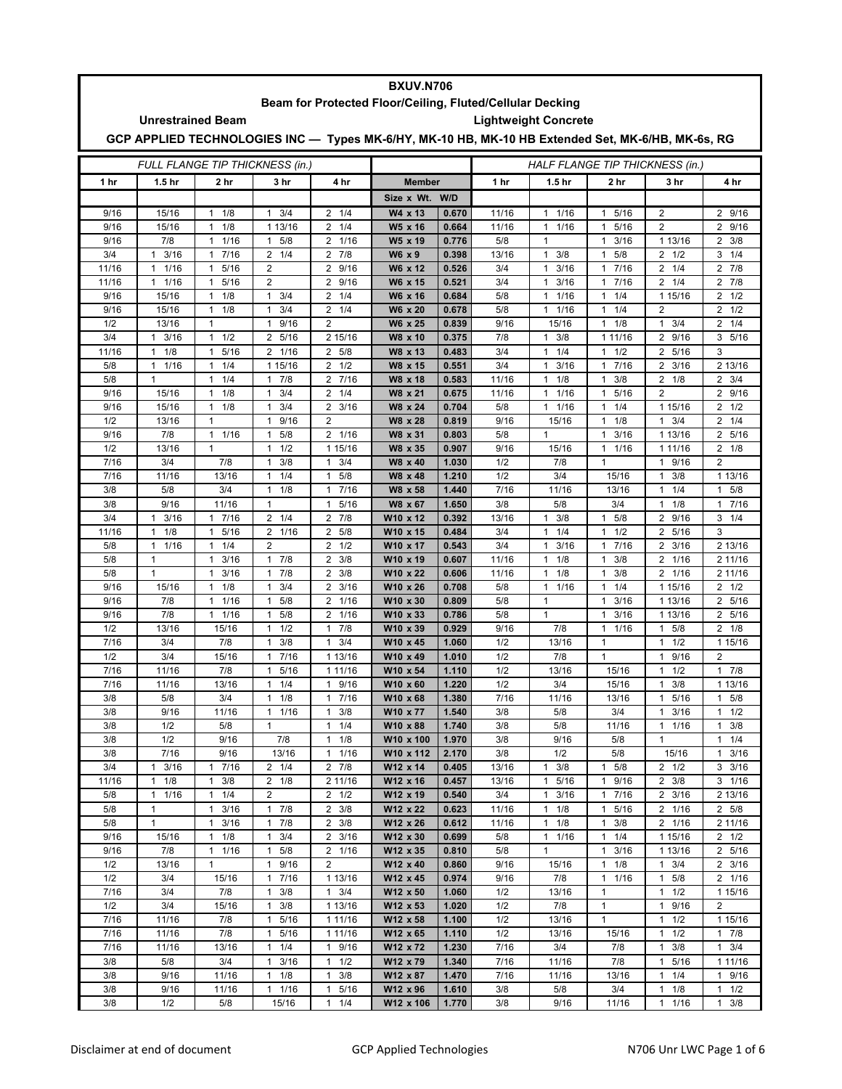|                                                           | <b>BXUV.N706</b>                                                                                  |                      |                             |                                 |                      |                |                                 |                      |                      |                                    |                      |  |  |  |
|-----------------------------------------------------------|---------------------------------------------------------------------------------------------------|----------------------|-----------------------------|---------------------------------|----------------------|----------------|---------------------------------|----------------------|----------------------|------------------------------------|----------------------|--|--|--|
| Beam for Protected Floor/Ceiling, Fluted/Cellular Decking |                                                                                                   |                      |                             |                                 |                      |                |                                 |                      |                      |                                    |                      |  |  |  |
| <b>Unrestrained Beam</b><br><b>Lightweight Concrete</b>   |                                                                                                   |                      |                             |                                 |                      |                |                                 |                      |                      |                                    |                      |  |  |  |
|                                                           | GCP APPLIED TECHNOLOGIES INC - Types MK-6/HY, MK-10 HB, MK-10 HB Extended Set, MK-6/HB, MK-6s, RG |                      |                             |                                 |                      |                |                                 |                      |                      |                                    |                      |  |  |  |
| <b>FULL FLANGE TIP THICKNESS (in.)</b>                    |                                                                                                   |                      |                             |                                 |                      |                | HALF FLANGE TIP THICKNESS (in.) |                      |                      |                                    |                      |  |  |  |
| 1 hr                                                      | 1.5 <sub>hr</sub>                                                                                 | 2 hr                 | 3 hr                        | 4 hr                            |                      | <b>Member</b>  |                                 | 1.5 <sub>hr</sub>    | 2 hr                 | 3 hr                               | 4 hr                 |  |  |  |
|                                                           |                                                                                                   |                      |                             |                                 | Size x Wt. W/D       |                |                                 |                      |                      |                                    |                      |  |  |  |
| 9/16                                                      | 15/16                                                                                             | $1 \t1/8$            | $1 \t3/4$                   | $2 \t1/4$                       | W4 x 13              | 0.670          | 11/16                           | 11/16                | 5/16<br>$\mathbf{1}$ | 2                                  | 2 9/16               |  |  |  |
| 9/16                                                      | 15/16                                                                                             | 1<br>1/8             | 1 13/16                     | $\overline{2}$<br>1/4           | W5 x 16              | 0.664          | 11/16                           | $\mathbf{1}$<br>1/16 | 5/16<br>$\mathbf{1}$ | $\overline{2}$                     | 2<br>9/16            |  |  |  |
| 9/16                                                      | 7/8                                                                                               | 1/16<br>1            | 5/8<br>$\mathbf{1}$         | 2 1/16                          | W5 x 19              | 0.776          | 5/8                             | 1                    | 3/16<br>$\mathbf{1}$ | 1 13/16                            | $2 \frac{3}{8}$      |  |  |  |
| 3/4                                                       | $1 \t3/16$                                                                                        | 17/16                | $2 \t1/4$                   | $2 \t 7/8$                      | W6 x 9               | 0.398          | 13/16                           | $1 \t3/8$            | 5/8<br>$\mathbf{1}$  | $2 \frac{1}{2}$                    | $3 \t1/4$            |  |  |  |
| 11/16                                                     | 1/16<br>$\mathbf{1}$                                                                              | 5/16<br>1            | $\overline{2}$              | 2<br>9/16                       | W6 x 12              | 0.526          | 3/4                             | 3/16<br>1            | 7/16<br>$\mathbf{1}$ | 1/4<br>2                           | $2 \t7/8$            |  |  |  |
| 11/16                                                     | 1/16<br>$\mathbf{1}$                                                                              | 5/16<br>1            | $\overline{2}$              | $\overline{2}$<br>9/16          | W6 x 15              | 0.521          | 3/4                             | 3/16<br>1            | 7/16<br>$\mathbf{1}$ | $2 \t1/4$                          | $2 \t7/8$            |  |  |  |
| 9/16                                                      | 15/16                                                                                             | 1/8<br>$\mathbf{1}$  | $1 \t3/4$                   | $\overline{2}$<br>1/4           | W6 x 16              | 0.684          | 5/8                             | 11/16                | 1/4<br>$\mathbf{1}$  | 1 15/16                            | $2 \frac{1}{2}$      |  |  |  |
| 9/16                                                      | 15/16                                                                                             | 1/8<br>$\mathbf{1}$  | 3/4<br>$\mathbf{1}$         | 2<br>1/4                        | W6 x 20              | 0.678          | 5/8                             | 11/16                | 1/4<br>$\mathbf{1}$  | 2                                  | $2 \frac{1}{2}$      |  |  |  |
| 1/2                                                       | 13/16                                                                                             | 1                    | 9/16<br>$\mathbf{1}$        | $\overline{2}$                  | W6 x 25              | 0.839          | 9/16                            | 15/16                | $\mathbf{1}$<br>1/8  | 3/4<br>1                           | $2 \t1/4$            |  |  |  |
| 3/4                                                       | $1 \t3/16$                                                                                        | $1 \t1/2$            | 2 5/16                      | 2 15/16                         | W8 x 10              | 0.375          | 7/8                             | $1 \t3/8$            | 1 11/16              | 2 9/16                             | 3, 5/16              |  |  |  |
| 11/16                                                     | $\mathbf{1}$<br>1/8                                                                               | 5/16<br>$\mathbf{1}$ | 2 1/16                      | 2 5/8                           | W8 x 13              | 0.483          | 3/4                             | $1 \t1/4$            | 1/2<br>$\mathbf{1}$  | $\overline{2}$<br>5/16             | 3                    |  |  |  |
| 5/8                                                       | 1/16<br>$\mathbf{1}$                                                                              | 1/4<br>1             | 1 15/16                     | 1/2<br>2                        | W8 x 15              | 0.551          | 3/4                             | 3/16<br>1            | 7/16<br>$\mathbf{1}$ | 3/16<br>2                          | 2 13/16              |  |  |  |
| 5/8                                                       | $\mathbf{1}$                                                                                      | $\mathbf{1}$<br>1/4  | $\mathbf{1}$<br>7/8         | $\overline{2}$<br>7/16          | W8 x 18              | 0.583          | 11/16                           | $\mathbf{1}$<br>1/8  | 3/8<br>$\mathbf{1}$  | 2<br>1/8                           | $2 \frac{3}{4}$      |  |  |  |
| 9/16                                                      | 15/16                                                                                             | 1/8<br>1             | 3/4<br>$\mathbf{1}$         | $\overline{2}$<br>1/4           | W8 x 21              | 0.675          | 11/16                           | 1/16<br>1            | 5/16<br>$\mathbf{1}$ | $\overline{2}$                     | 2 9/16               |  |  |  |
| 9/16                                                      | 15/16                                                                                             | 1/8<br>1             | 3/4<br>$\mathbf{1}$         | 3/16<br>2                       | W8 x 24              | 0.704          | 5/8                             | 11/16                | 1/4<br>$\mathbf{1}$  | 1 15/16                            | $2 \frac{1}{2}$      |  |  |  |
| 1/2                                                       | 13/16                                                                                             | 1                    | 9/16<br>1                   | $\overline{2}$                  | W8 x 28              | 0.819          | 9/16                            | 15/16                | 1/8<br>$\mathbf{1}$  | 3/4<br>1                           | $2 \t1/4$            |  |  |  |
| 9/16                                                      | 7/8                                                                                               | 1/16<br>$\mathbf{1}$ | 5/8<br>1                    | 2 1/16                          | W8 x 31              | 0.803          | 5/8                             | 1                    | 3/16<br>$\mathbf{1}$ | 1 13/16                            | 2 5/16               |  |  |  |
| 1/2                                                       | 13/16                                                                                             | $\mathbf{1}$         | 1/2<br>$\mathbf{1}$         | 1 15/16                         | W8 x 35              | 0.907          | 9/16                            | 15/16                | 1/16<br>$\mathbf{1}$ | 1 1 1 / 16                         | $2 \t1/8$            |  |  |  |
| 7/16                                                      | 3/4                                                                                               | 7/8                  | 3/8<br>1                    | 1<br>3/4                        | W8 x 40              | 1.030          | 1/2                             | 7/8                  | $\mathbf{1}$         | 9/16<br>1                          | $\overline{2}$       |  |  |  |
| 7/16                                                      | 11/16                                                                                             | 13/16                | 1/4<br>1                    | 5/8<br>1                        | W8 x 48              | 1.210          | 1/2                             | 3/4                  | 15/16                | 3/8<br>1                           | 1 13/16              |  |  |  |
| 3/8                                                       | 5/8                                                                                               | 3/4                  | 1/8<br>$\mathbf{1}$         | 7/16<br>$\mathbf{1}$            | W8 x 58              | 1.440          | 7/16                            | 11/16                | 13/16                | 1/4<br>1                           | 5/8<br>$\mathbf{1}$  |  |  |  |
| 3/8                                                       | 9/16                                                                                              | 11/16                | $\mathbf{1}$                | 5/16<br>$\mathbf{1}$            | W8 x 67              | 1.650          | 3/8                             | 5/8                  | 3/4                  | 1/8<br>1                           | 1 7/16               |  |  |  |
| 3/4                                                       | 3/16<br>$\mathbf{1}$                                                                              | 17/16                | $2 \t1/4$                   | 7/8<br>$\overline{2}$           | W10 x 12             | 0.392          | 13/16                           | 3/8<br>1             | 5/8<br>$\mathbf{1}$  | 2 9/16                             | $3 \t1/4$            |  |  |  |
| 11/16                                                     | 1/8<br>$\mathbf{1}$                                                                               | 5/16<br>1            | 2 1/16                      | $\overline{2}$<br>5/8           | W10 x 15             | 0.484          | 3/4                             | 1/4<br>1             | 1/2<br>$\mathbf{1}$  | 5/16<br>2                          | 3                    |  |  |  |
| 5/8                                                       | 1/16<br>$\mathbf{1}$                                                                              | 1/4<br>1             | 2                           | $\overline{2}$<br>1/2           | W10 x 17             | 0.543          | 3/4                             | 3/16<br>$\mathbf{1}$ | 7/16<br>$\mathbf{1}$ | $\overline{2}$<br>3/16             | 2 13/16              |  |  |  |
| 5/8                                                       | $\mathbf{1}$                                                                                      | 3/16<br>$\mathbf{1}$ | $1 \t7/8$                   | $\overline{2}$<br>3/8           | W10 x 19             | 0.607          | 11/16                           | $1 \t1/8$            | 3/8<br>$\mathbf{1}$  | 2 1/16                             | 2 11/16              |  |  |  |
| 5/8                                                       | $\mathbf{1}$                                                                                      | 3/16<br>1            | 7/8<br>1                    | 2<br>3/8                        | W10 x 22             | 0.606          | 11/16                           | 1/8<br>1             | 3/8<br>1             | 2<br>1/16                          | 2 11/16              |  |  |  |
| 9/16                                                      | 15/16                                                                                             | 1/8<br>1             | 3/4<br>$\mathbf{1}$         | $\overline{2}$<br>3/16          | W10 x 26             | 0.708          | 5/8                             | 1/16<br>1            | 1/4<br>$\mathbf{1}$  | 1 15/16                            | $2 \frac{1}{2}$      |  |  |  |
| 9/16                                                      | 7/8                                                                                               | 1/16<br>$\mathbf{1}$ | 5/8<br>1                    | 1/16<br>2                       | W10 x 30             | 0.809          | 5/8                             | 1                    | 3/16<br>$\mathbf{1}$ | 1 13/16                            | 2 5/16               |  |  |  |
| 9/16                                                      | 7/8                                                                                               | 1/16<br>1            | 5/8<br>1                    | 1/16<br>2                       | W10 x 33             | 0.786          | 5/8                             | $\mathbf{1}$         | 3/16<br>1            | 1 13/16                            | 2 5/16               |  |  |  |
| 1/2                                                       | 13/16                                                                                             | 15/16                | 1/2<br>$\mathbf{1}$         | 7/8<br>$\mathbf{1}$             | W10 x 39             | 0.929          | 9/16                            | 7/8                  | 1/16<br>$\mathbf{1}$ | 5/8<br>1                           | $2 \t1/8$            |  |  |  |
| 7/16                                                      | 3/4                                                                                               | 7/8                  | 3/8<br>$\mathbf{1}$         | 3/4<br>$\mathbf{1}$             | W10 x 45             | 1.060          | 1/2                             | 13/16                | $\mathbf{1}$         | 1/2<br>$\mathbf{1}$                | 1 15/16              |  |  |  |
| 1/2                                                       | 3/4                                                                                               | 15/16                | 7/16<br>$\mathbf{1}$<br>1   | 1 13/16                         | W10 x 49             | 1.010          | 1/2                             | 7/8                  | $\mathbf{1}$         | 9/16<br>1<br>1                     | 2<br>7/8<br>1        |  |  |  |
| 7/16<br>7/16                                              | 11/16<br>11/16                                                                                    | 7/8<br>13/16         | 5/16<br>1/4<br>$\mathbf{1}$ | 1 11/16<br>9/16<br>$\mathbf{1}$ | W10 x 54             | 1.110          | 1/2<br>1/2                      | 13/16<br>3/4         | 15/16<br>15/16       | 1/2<br>3/8                         | 1 13/16              |  |  |  |
|                                                           |                                                                                                   |                      |                             |                                 | W10 x 60             | 1.220          | 7/16                            |                      |                      | 1                                  |                      |  |  |  |
| 3/8<br>3/8                                                | 5/8<br>9/16                                                                                       | 3/4<br>11/16         | 1 1/8<br>$1 \t1/16$         | 1 / 16<br>$\mathbf{1}$<br>3/8   | W10 x 68<br>W10 x 77 | 1.380<br>1.540 | 3/8                             | 11/16<br>5/8         | 13/16<br>3/4         | 1.<br>5/16<br>3/16<br>$\mathbf{1}$ | 1 5/8<br>$1 \t1/2$   |  |  |  |
| 3/8                                                       | 1/2                                                                                               | 5/8                  | $\mathbf{1}$                | $\mathbf{1}$<br>1/4             | W10 x 88             | 1.740          | 3/8                             | 5/8                  | 11/16                | $1 \t1/16$                         | 3/8<br>1             |  |  |  |
| 3/8                                                       | 1/2                                                                                               | 9/16                 | 7/8                         | $1 \t1/8$                       | W10 x 100            | 1.970          | 3/8                             | 9/16                 | 5/8                  | 1                                  | $1 \t1/4$            |  |  |  |
| 3/8                                                       | 7/16                                                                                              | 9/16                 | 13/16                       | $\mathbf{1}$<br>1/16            | W10 x 112            | 2.170          | 3/8                             | 1/2                  | 5/8                  | 15/16                              | $\mathbf{1}$<br>3/16 |  |  |  |
| 3/4                                                       | $\mathbf{1}$<br>3/16                                                                              | 7/16<br>$\mathbf{1}$ | $2 \t1/4$                   | $2 \t 7/8$                      | W12 x 14             | 0.405          | 13/16                           | 3/8<br>$\mathbf{1}$  | $\mathbf{1}$<br>5/8  | $2 \frac{1}{2}$                    | $3 \frac{3}{16}$     |  |  |  |
| 11/16                                                     | 1/8<br>$\mathbf{1}$                                                                               | 3/8<br>1             | $2 \t1/8$                   | 2 11/16                         | W12 x 16             | 0.457          | 13/16                           | 1 5/16               | 9/16<br>$\mathbf{1}$ | $2 \frac{3}{8}$                    | $3 \t1/16$           |  |  |  |
| 5/8                                                       | $\mathbf{1}$<br>1/16                                                                              | 1/4<br>$\mathbf{1}$  | $\overline{2}$              | $2 \frac{1}{2}$                 | W12 x 19             | 0.540          | 3/4                             | $1 \t3/16$           | 17/16                | $2 \frac{3}{16}$                   | 2 13/16              |  |  |  |
| 5/8                                                       | $\mathbf{1}$                                                                                      | 1<br>3/16            | $1 \t7/8$                   | $2 \frac{3}{8}$                 | W12 x 22             | 0.623          | 11/16                           | $1 \t1/8$            | $\mathbf{1}$<br>5/16 | 2 1/16                             | 2 5/8                |  |  |  |
| 5/8                                                       | $\mathbf{1}$                                                                                      | 3/16<br>1            | 7/8<br>$\mathbf{1}$         | $2 \frac{3}{8}$                 | W12 x 26             | 0.612          | 11/16                           | $1 \t1/8$            | 3/8<br>$\mathbf{1}$  | 2 1/16                             | 2 11/16              |  |  |  |
| 9/16                                                      | 15/16                                                                                             | 1/8<br>1             | 3/4<br>$\mathbf{1}$         | $\overline{2}$<br>3/16          | W12 x 30             | 0.699          | 5/8                             | 11/16                | 1/4<br>$\mathbf{1}$  | 1 15/16                            | $2 \frac{1}{2}$      |  |  |  |
| 9/16                                                      | 7/8                                                                                               | $1 \t1/16$           | $1 \t5/8$                   | 2 1/16                          | W12 x 35             | 0.810          | 5/8                             | $\mathbf{1}$         | $\mathbf{1}$<br>3/16 | 1 13/16                            | 2 5/16               |  |  |  |
| 1/2                                                       | 13/16                                                                                             | 1                    | 1 9/16                      | 2                               | W12 x 40             | 0.860          | 9/16                            | 15/16                | 1/8<br>$\mathbf{1}$  | $1 \t3/4$                          | $2 \frac{3}{16}$     |  |  |  |
| 1/2                                                       | 3/4                                                                                               | 15/16                | 7/16<br>1                   | 1 13/16                         | W12 x 45             | 0.974          | 9/16                            | 7/8                  | $\mathbf{1}$<br>1/16 | 5/8<br>1                           | $2 \t1/16$           |  |  |  |
| 7/16                                                      | 3/4                                                                                               | 7/8                  | $1 \t3/8$                   | $1 \t3/4$                       | W12 x 50             | 1.060          | 1/2                             | 13/16                | $\mathbf{1}$         | $1 \t1/2$                          | 1 15/16              |  |  |  |
| 1/2                                                       | 3/4                                                                                               | 15/16                | $1 \t3/8$                   | 1 13/16                         | W12 x 53             | 1.020          | 1/2                             | 7/8                  | 1                    | 1 9/16                             | 2                    |  |  |  |
| 7/16                                                      | 11/16                                                                                             | 7/8                  | 5/16<br>1                   | 1 11/16                         | W12 x 58             | 1.100          | 1/2                             | 13/16                | $\mathbf{1}$         | 1/2<br>1                           | 1 15/16              |  |  |  |
| 7/16                                                      | 11/16                                                                                             | 7/8                  | 5/16<br>$\mathbf{1}$        | 1 11/16                         | W12 x 65             | 1.110          | 1/2                             | 13/16                | 15/16                | 1/2<br>1                           | 17/8                 |  |  |  |
| 7/16                                                      | 11/16                                                                                             | 13/16                | $1 \t1/4$                   | 9/16<br>$\mathbf{1}$            | W12 x 72             | 1.230          | 7/16                            | 3/4                  | 7/8                  | 3/8<br>$\mathbf{1}$                | $1 \t3/4$            |  |  |  |
| 3/8                                                       | 5/8                                                                                               | 3/4                  | 3/16<br>1                   | 1/2<br>$\mathbf{1}$             | W12 x 79             | 1.340          | 7/16                            | 11/16                | 7/8                  | 5/16<br>1                          | 1 1 1 / 16           |  |  |  |
| 3/8                                                       | 9/16                                                                                              | 11/16                | $1 \t1/8$                   | $\mathbf{1}$<br>3/8             | W12 x 87             | 1.470          | 7/16                            | 11/16                | 13/16                | 1/4<br>1                           | 1 9/16               |  |  |  |
| 3/8                                                       | 9/16                                                                                              | 11/16                | $1 \t1/16$                  | 5/16<br>1                       | W12 x 96             | 1.610          | 3/8                             | 5/8                  | 3/4                  | 1/8<br>1                           | $1 \t1/2$            |  |  |  |
| 3/8                                                       | 1/2                                                                                               | 5/8                  | 15/16                       | 1/4<br>$\mathbf{1}$             | W12 x 106            | 1.770          | 3/8                             | 9/16                 | 11/16                | $1 \t1/16$                         | $1 \t3/8$            |  |  |  |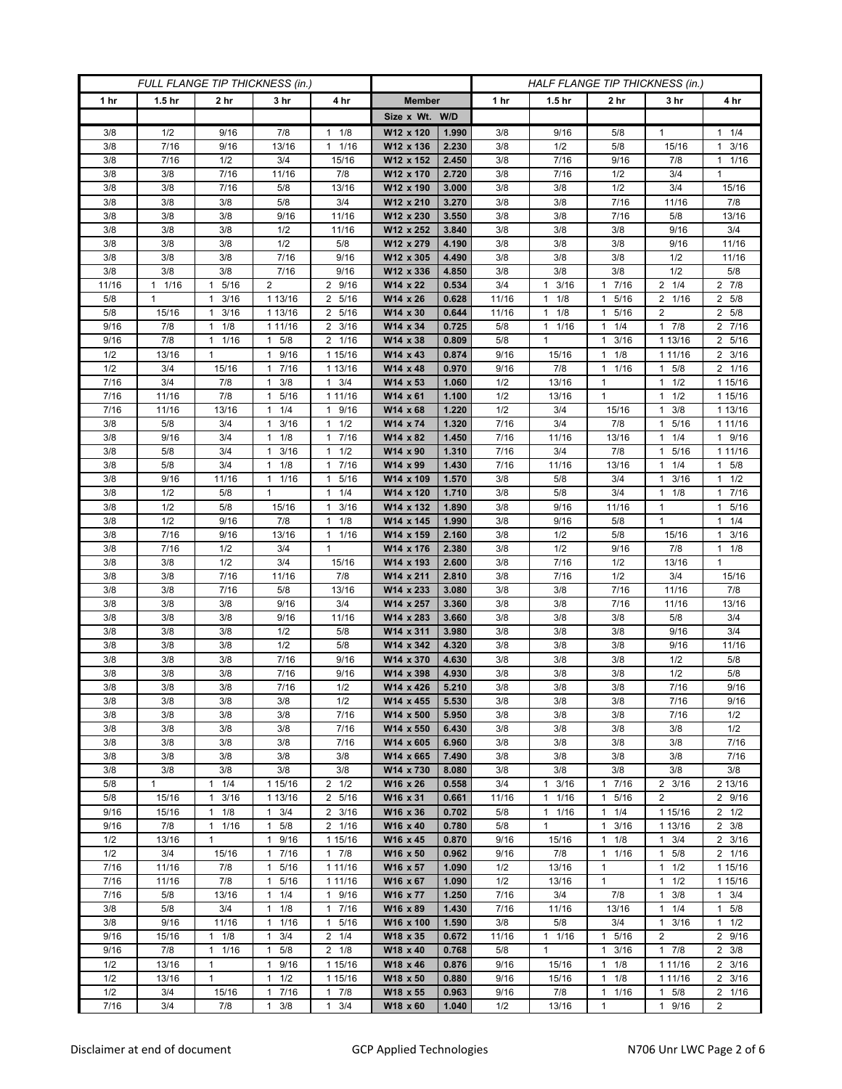| FULL FLANGE TIP THICKNESS (in.) |                   |                      |                      |                      | HALF FLANGE TIP THICKNESS (in.) |                |            |                   |                      |                      |                     |
|---------------------------------|-------------------|----------------------|----------------------|----------------------|---------------------------------|----------------|------------|-------------------|----------------------|----------------------|---------------------|
| 1 hr                            | 1.5 <sub>hr</sub> | 2 <sub>hr</sub>      | 3 <sub>hr</sub>      | 4 hr                 | <b>Member</b>                   |                | 1 hr       | 1.5 <sub>hr</sub> | 2 hr                 | 3 hr                 | 4 hr                |
|                                 |                   |                      |                      |                      | Size x Wt. W/D                  |                |            |                   |                      |                      |                     |
| 3/8                             | 1/2               | 9/16                 | 7/8                  | 1/8<br>1             | W12 x 120                       | 1.990          | 3/8        | 9/16              | 5/8                  | $\mathbf{1}$         | $1 \t1/4$           |
| 3/8                             | 7/16              | 9/16                 | 13/16                | 1/16<br>$\mathbf{1}$ | W12 x 136                       | 2.230          | 3/8        | 1/2               | 5/8                  | 15/16                | $1 \t3/16$          |
| 3/8                             | 7/16              | 1/2                  | 3/4                  | 15/16                | W12 x 152                       | 2.450          | 3/8        | 7/16              | 9/16                 | 7/8                  | 1 1/16              |
| 3/8                             | 3/8               | 7/16                 | 11/16                | 7/8                  | W12 x 170                       | 2.720          | 3/8        | 7/16              | 1/2                  | 3/4                  | $\mathbf{1}$        |
| 3/8                             | 3/8               | 7/16                 | 5/8                  | 13/16                | W12 x 190                       | 3.000          | 3/8        | 3/8               | 1/2                  | 3/4                  | 15/16               |
| 3/8                             | 3/8               | 3/8                  | 5/8                  | 3/4                  | W12 x 210                       | 3.270          | 3/8        | 3/8               | 7/16                 | 11/16                | 7/8                 |
| 3/8                             | 3/8               | 3/8                  | 9/16                 | 11/16                | W12 x 230                       | 3.550          | 3/8        | 3/8               | 7/16                 | 5/8                  | 13/16               |
| 3/8                             | 3/8               | 3/8                  | 1/2                  | 11/16                | W12 x 252                       | 3.840          | 3/8        | 3/8               | 3/8                  | 9/16                 | 3/4                 |
| 3/8                             | 3/8               | 3/8                  | 1/2                  | 5/8                  | W12 x 279                       | 4.190          | 3/8        | 3/8               | 3/8                  | 9/16                 | 11/16               |
| 3/8                             | 3/8               | 3/8                  | 7/16                 | 9/16                 | W12 x 305                       | 4.490          | 3/8        | 3/8               | 3/8                  | 1/2                  | 11/16               |
| 3/8                             | 3/8               | 3/8                  | 7/16                 | 9/16                 | W12 x 336                       | 4.850          | 3/8        | 3/8               | 3/8                  | 1/2                  | 5/8                 |
| 11/16                           | 1/16<br>1         | 5/16<br>1            | $\overline{2}$       | 2 9/16               | W14 x 22                        | 0.534          | 3/4        | $1 \t3/16$        | 7/16<br>1            | $2 \t1/4$            | 2 7/8               |
| 5/8                             | 1                 | 3/16<br>1            | 1 13/16              | 5/16<br>2            | W14 x 26                        | 0.628          | 11/16      | 1/8<br>1          | 5/16<br>$\mathbf{1}$ | 2 1/16               | 2 5/8               |
| 5/8                             | 15/16             | 3/16<br>$\mathbf{1}$ | 1 13/16              | 5/16<br>2            | W14 x 30                        | 0.644          | 11/16      | $1 \t1/8$         | 5/16<br>1            | $\overline{2}$       | 2 5/8               |
| 9/16                            | 7/8               | 1/8<br>1             | 1 11/16              | 3/16<br>2            | W14 x 34                        | 0.725          | 5/8        | $1 \t1/16$        | 1/4<br>1             | 17/8                 | 2 7/16              |
| 9/16                            | 7/8               | 1/16<br>$\mathbf{1}$ | 5/8<br>$\mathbf{1}$  | 2 1/16               | W14 x 38                        | 0.809          | 5/8        | $\mathbf{1}$      | 3/16<br>$\mathbf{1}$ | 1 13/16              | 2 5/16              |
| 1/2                             | 13/16             | $\mathbf{1}$         | 9/16<br>$\mathbf{1}$ | 1 15/16              | W14 x 43                        | 0.874          | 9/16       | 15/16             | 1/8<br>$\mathbf{1}$  | 1 1 1 / 16           | $2 \frac{3}{16}$    |
| 1/2                             | 3/4               | 15/16                | 17/16                | 1 13/16              | W14 x 48                        | 0.970          | 9/16       | 7/8               | 1/16<br>$\mathbf{1}$ | $1 \t5/8$            | 2 1/16              |
| 7/16                            | 3/4               | 7/8                  | 3/8<br>1             | 3/4<br>$\mathbf{1}$  | W14 x 53                        | 1.060          | 1/2        | 13/16             | 1                    | $1 \t1/2$            | 1 15/16             |
| 7/16                            | 11/16             | 7/8                  | 5/16<br>$\mathbf{1}$ | 1 11/16              | $W14 \times 61$                 | 1.100          | 1/2        | 13/16             | $\mathbf{1}$         | 1/2<br>1             | 1 15/16             |
| 7/16                            | 11/16             | 13/16                | $1 \t1/4$            | 9/16<br>1            | W14 x 68                        | 1.220          | 1/2        | 3/4               | 15/16                | 3/8<br>1             | 1 13/16             |
| 3/8                             | 5/8               | 3/4                  | 3/16<br>1            | 1/2<br>1             | W14 x 74                        | 1.320          | 7/16       | 3/4               | 7/8                  | 5/16<br>$\mathbf{1}$ | 1 1 1 / 16          |
| 3/8                             | 9/16              | 3/4                  | 1/8<br>1             | 7/16<br>1            | W14 x 82                        | 1.450          | 7/16       | 11/16             | 13/16                | 1/4<br>1             | 1 9/16              |
| 3/8                             | 5/8               | 3/4                  | 3/16<br>$\mathbf{1}$ | 1/2<br>$\mathbf{1}$  | W14 x 90                        | 1.310          | 7/16       | 3/4               | 7/8                  | 5/16<br>1            | 1 1 1 / 1 6         |
| 3/8                             | 5/8               | 3/4                  | $1 \t1/8$            | 7/16<br>1            | W14 x 99                        | 1.430          | 7/16       | 11/16             | 13/16                | $1 \t1/4$            | $1 \t5/8$           |
| 3/8                             | 9/16              | 11/16                | 1/16<br>$\mathbf{1}$ | 5/16<br>1            | W14 x 109                       | 1.570          | 3/8        | 5/8               | 3/4                  | 3/16<br>1            | $1 \t1/2$           |
| 3/8                             | 1/2               | 5/8                  | $\mathbf{1}$         | $\mathbf{1}$<br>1/4  | W14 x 120                       | 1.710          | 3/8        | 5/8               | 3/4                  | 1/8<br>$\mathbf{1}$  | 17/16               |
| 3/8                             | 1/2               | 5/8                  | 15/16                | 3/16<br>1            | W14 x 132                       | 1.890          | 3/8        | 9/16              | 11/16                | $\mathbf{1}$         | 1 5/16              |
| 3/8                             | 1/2               | 9/16                 | 7/8                  | 1/8<br>1             | W14 x 145                       | 1.990          | 3/8        | 9/16              | 5/8                  | $\mathbf{1}$         | $1 \t1/4$           |
| 3/8                             | 7/16              | 9/16                 | 13/16                | $\mathbf{1}$<br>1/16 | W14 x 159                       | 2.160          | 3/8        | 1/2               | 5/8                  | 15/16                | $1 \t3/16$          |
| 3/8                             | 7/16              | 1/2                  | 3/4                  | $\mathbf{1}$         | W14 x 176                       | 2.380          | 3/8        | 1/2               | 9/16                 | 7/8                  | $1 \t1/8$           |
| 3/8                             | 3/8               | 1/2                  | 3/4                  | 15/16                | W14 x 193                       | 2.600          | 3/8        | 7/16              | 1/2                  | 13/16                | $\mathbf{1}$        |
| 3/8                             | 3/8               | 7/16                 | 11/16                | 7/8                  | W14 x 211                       | 2.810          | 3/8        | 7/16              | 1/2                  | 3/4                  | 15/16               |
| 3/8                             | 3/8               | 7/16                 | 5/8                  | 13/16                | W14 x 233                       | 3.080          | 3/8        | 3/8               | 7/16                 | 11/16                | 7/8                 |
| 3/8                             | 3/8               | 3/8                  | 9/16                 | 3/4                  | W14 x 257                       | 3.360          | 3/8        | 3/8               | 7/16                 | 11/16                | 13/16               |
| 3/8                             | 3/8               | 3/8                  | 9/16                 | 11/16                | W14 x 283                       | 3.660          | 3/8        | 3/8               | 3/8                  | 5/8                  | 3/4                 |
| 3/8                             | 3/8               | 3/8                  | 1/2                  | 5/8                  | W14 x 311                       | 3.980          | 3/8        | 3/8               | 3/8                  | 9/16                 | 3/4                 |
| 3/8                             | 3/8               | 3/8                  | 1/2                  | 5/8                  | W14 x 342                       | 4.320          | 3/8        | 3/8               | 3/8                  | 9/16                 | 11/16               |
| 3/8                             | 3/8               | 3/8                  | 7/16                 | 9/16                 | W14 x 370                       | 4.630          | 3/8        | 3/8               | 3/8                  | 1/2                  | 5/8                 |
| 3/8                             | 3/8               | 3/8                  | 7/16                 | 9/16                 | W14 x 398                       | 4.930          | 3/8        | 3/8               | 3/8                  | 1/2                  | 5/8                 |
| 3/8<br>3/8                      | 3/8               | 3/8<br>3/8           | 7/16                 | 1/2<br>1/2           | W14 x 426                       | 5.210<br>5.530 | 3/8<br>3/8 | 3/8<br>3/8        | 3/8<br>3/8           | 7/16                 | 9/16<br>9/16        |
| 3/8                             | 3/8<br>3/8        | 3/8                  | 3/8<br>3/8           | 7/16                 | W14 x 455<br>W14 x 500          | 5.950          | 3/8        | 3/8               | 3/8                  | 7/16<br>7/16         | 1/2                 |
| 3/8                             | 3/8               | 3/8                  | 3/8                  | 7/16                 | W14 x 550                       | 6.430          | 3/8        | 3/8               | 3/8                  | 3/8                  | 1/2                 |
| 3/8                             | 3/8               | 3/8                  | 3/8                  | 7/16                 | W14 x 605                       | 6.960          | 3/8        | 3/8               | 3/8                  | 3/8                  | 7/16                |
| 3/8                             | 3/8               | 3/8                  | 3/8                  | 3/8                  | W14 x 665                       | 7.490          | 3/8        | 3/8               | 3/8                  | 3/8                  | 7/16                |
| 3/8                             | 3/8               | 3/8                  | 3/8                  | 3/8                  | W14 x 730                       | 8.080          | 3/8        | 3/8               | 3/8                  | 3/8                  | 3/8                 |
| 5/8                             | $\mathbf{1}$      | 1<br>1/4             | 1 15/16              | $2 \frac{1}{2}$      | W16 x 26                        | 0.558          | 3/4        | $1 \t3/16$        | 7/16<br>$\mathbf{1}$ | $2 \frac{3}{16}$     | 2 13/16             |
| 5/8                             | 15/16             | 3/16<br>$\mathbf{1}$ | 1 13/16              | 2 5/16               | W16 x 31                        | 0.661          | 11/16      | 11/16             | 5/16<br>$\mathbf{1}$ | $\overline{2}$       | 2 9/16              |
| 9/16                            | 15/16             | $1 \t1/8$            | $1 \t3/4$            | $2 \frac{3}{16}$     | W16 x 36                        | 0.702          | 5/8        | $1 \t1/16$        | 1/4<br>$\mathbf{1}$  | 1 15/16              | $2 \frac{1}{2}$     |
| 9/16                            | 7/8               | 1/16<br>$\mathbf{1}$ | 5/8<br>$\mathbf{1}$  | 2 1/16               | W16 x 40                        | 0.780          | 5/8        | $\mathbf{1}$      | 3/16<br>$\mathbf{1}$ | 1 13/16              | $2 \frac{3}{8}$     |
| 1/2                             | 13/16             | $\mathbf{1}$         | 1 9/16               | 1 15/16              | W16 x 45                        | 0.870          | 9/16       | 15/16             | $\mathbf{1}$<br>1/8  | $1 \t3/4$            | $\overline{2}$ 3/16 |
| 1/2                             | 3/4               | 15/16                | 17/16                | 17/8                 | W16 x 50                        | 0.962          | 9/16       | 7/8               | 1/16<br>$\mathbf{1}$ | $1 \t5/8$            | 2 1/16              |
| 7/16                            | 11/16             | 7/8                  | 5/16<br>$\mathbf{1}$ | 1 11/16              | W16 x 57                        | 1.090          | 1/2        | 13/16             | 1                    | 1/2<br>$\mathbf{1}$  | 1 15/16             |
| 7/16                            | 11/16             | 7/8                  | 5/16<br>$\mathbf{1}$ | 1 11/16              | W16 x 67                        | 1.090          | 1/2        | 13/16             | $\mathbf{1}$         | $\mathbf{1}$<br>1/2  | 1 15/16             |
| 7/16                            | 5/8               | 13/16                | $1 \t1/4$            | 9/16<br>$\mathbf{1}$ | W16 x 77                        | 1.250          | 7/16       | 3/4               | 7/8                  | $1 \t3/8$            | $1 \t3/4$           |
| 3/8                             | 5/8               | 3/4                  | 1/8<br>$\mathbf{1}$  | 7/16<br>$\mathbf{1}$ | W16 x 89                        | 1.430          | 7/16       | 11/16             | 13/16                | 1/4<br>$\mathbf{1}$  | $1 \t5/8$           |
| 3/8                             | 9/16              | 11/16                | 1/16<br>1            | 5/16<br>1            | W16 x 100                       | 1.590          | 3/8        | 5/8               | 3/4                  | 3/16<br>$\mathbf{1}$ | $1 \t1/2$           |
| 9/16                            | 15/16             | $1 \t1/8$            | 3/4<br>$\mathbf{1}$  | $2 \t1/4$            | W18 x 35                        | 0.672          | 11/16      | 11/16             | 1 5/16               | $\overline{2}$       | 2 9/16              |
| 9/16                            | 7/8               | 1/16<br>$\mathbf{1}$ | 5/8<br>1             | $2 \t1/8$            | W18 x 40                        | 0.768          | 5/8        | 1                 | 3/16<br>$\mathbf{1}$ | 17/8                 | $2 \frac{3}{8}$     |
| 1/2                             | 13/16             | $\mathbf{1}$         | 9/16<br>1            | 1 15/16              | W18 x 46                        | 0.876          | 9/16       | 15/16             | 1/8<br>$\mathbf{1}$  | 1 11/16              | $2 \frac{3}{16}$    |
| 1/2                             | 13/16             | $\mathbf{1}$         | 1/2<br>1             | 1 15/16              | W18 x 50                        | 0.880          | 9/16       | 15/16             | 1/8<br>$\mathbf{1}$  | 1 11/16              | $2 \frac{3}{16}$    |
| 1/2                             | 3/4               | 15/16                | 7/16<br>1            | 7/8<br>$\mathbf{1}$  | W18 x 55                        | 0.963          | 9/16       | 7/8               | 1/16<br>$\mathbf{1}$ | $1 \t5/8$            | 2 1/16              |
| 7/16                            | 3/4               | 7/8                  | 3/8<br>$\mathbf{1}$  | $\mathbf{1}$<br>3/4  | W18 x 60                        | 1.040          | 1/2        | 13/16             | 1                    | 1 9/16               | $\overline{2}$      |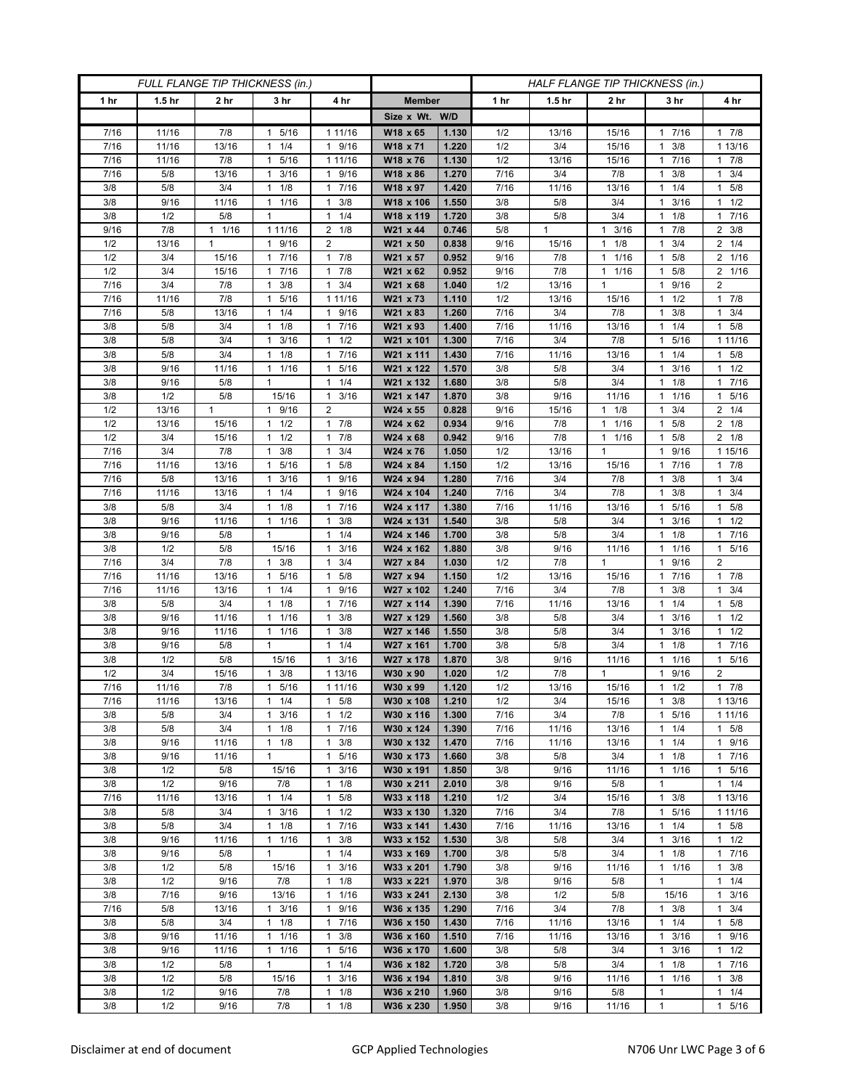| FULL FLANGE TIP THICKNESS (in.) |                   |                |                      |                                             | HALF FLANGE TIP THICKNESS (in.) |                |            |                   |                                      |                      |                      |
|---------------------------------|-------------------|----------------|----------------------|---------------------------------------------|---------------------------------|----------------|------------|-------------------|--------------------------------------|----------------------|----------------------|
| 1 <sub>hr</sub>                 | 1.5 <sub>hr</sub> | 2 hr           | 3 hr                 | 4 hr                                        | <b>Member</b>                   |                | 1 hr       | 1.5 <sub>hr</sub> | 2 hr                                 | 3 hr                 | 4 hr                 |
|                                 |                   |                |                      |                                             | Size x Wt. W/D                  |                |            |                   |                                      |                      |                      |
| 7/16                            | 11/16             | 7/8            | 5/16<br>$\mathbf{1}$ | 1 11/16                                     | W18 x 65                        | 1.130          | 1/2        | 13/16             | 15/16                                | 1 7/16               | 17/8                 |
| 7/16                            | 11/16             | 13/16          | 1/4<br>1             | 9/16<br>1                                   | W18 x 71                        | 1.220          | 1/2        | 3/4               | 15/16                                | 3/8<br>1             | 1 13/16              |
| 7/16                            | 11/16             | 7/8            | 5/16<br>1            | 1 11/16                                     | W18 x 76                        | 1.130          | 1/2        | 13/16             | 15/16                                | 7/16                 | 17/8                 |
| 7/16                            | 5/8               | 13/16          | 3/16<br>1            | 9/16<br>1                                   | W18 x 86                        | 1.270          | 7/16       | 3/4               | 7/8                                  | 3/8<br>1             | $1 \t3/4$            |
| 3/8                             | 5/8               | 3/4            | 1/8<br>1             | 7/16<br>$\mathbf{1}$                        | W18 x 97                        | 1.420          | 7/16       | 11/16             | 13/16                                | 1/4<br>1             | 1 5/8                |
| 3/8                             | 9/16              | 11/16          | 11/16                | 3/8<br>1                                    | W18 x 106                       | 1.550          | 3/8        | 5/8               | 3/4                                  | 3/16<br>1            | $1 \t1/2$            |
| 3/8                             | 1/2               | 5/8            | 1                    | 1/4<br>$\mathbf{1}$                         | W18 x 119                       | 1.720          | 3/8        | 5/8               | 3/4                                  | 1/8<br>1             | 17/16                |
| 9/16                            | 7/8               | 11/16          | 1 11/16              | 1/8<br>2                                    | W21 x 44                        | 0.746          | 5/8        | $\mathbf{1}$      | 3/16<br>1                            | 7/8<br>1             | $2 \frac{3}{8}$      |
| 1/2                             | 13/16             | 1              | 1 9/16               | $\overline{2}$                              | W21 x 50                        | 0.838          | 9/16       | 15/16             | 1/8<br>$\mathbf{1}$                  | 3/4                  | $2 \t1/4$            |
| 1/2                             | 3/4               | 15/16          | 7/16<br>$\mathbf{1}$ | 7/8<br>$\mathbf{1}$                         | W21 x 57                        | 0.952          | 9/16       | 7/8               | 1/16<br>$\mathbf{1}$                 | 5/8<br>1             | 2 1/16               |
| 1/2                             | 3/4               | 15/16          | 7/16<br>$\mathbf{1}$ | 7/8<br>$\mathbf{1}$                         | W21 x 62                        | 0.952          | 9/16       | 7/8               | 1/16<br>$\mathbf{1}$                 | 5/8<br>1             | 2 1/16               |
| 7/16                            | 3/4               | 7/8            | 3/8<br>1             | 3/4<br>$\mathbf{1}$                         | W21 x 68                        | 1.040          | 1/2        | 13/16             | $\mathbf{1}$                         | 9/16<br>1            | 2                    |
| 7/16                            | 11/16             | 7/8            | 5/16<br>1            | 1 11/16                                     | W21 x 73                        | 1.110          | 1/2        | 13/16             | 15/16                                | 1/2<br>1             | 17/8                 |
| 7/16                            | 5/8               | 13/16          | 1/4<br>$\mathbf{1}$  | 9/16<br>$\mathbf{1}$                        | W21 x 83                        | 1.260          | 7/16       | 3/4               | 7/8                                  | 3/8<br>1             | 1<br>3/4             |
| 3/8                             | 5/8               | 3/4            | $1 \t1/8$            | 7/16<br>1                                   | W21 x 93                        | 1.400          | 7/16       | 11/16             | 13/16                                | 1/4<br>$\mathbf{1}$  | $1 \t5/8$            |
| 3/8                             | 5/8               | 3/4            | 3/16<br>$\mathbf{1}$ | 1/2<br>1                                    | W21 x 101                       | 1.300          | 7/16       | 3/4               | 7/8                                  | 5/16<br>1.           | 1 1 1 / 16           |
| 3/8                             | 5/8               | 3/4            | 1/8<br>1             | 7/16<br>$\mathbf{1}$                        | W21 x 111                       | 1.430          | 7/16       | 11/16             | 13/16                                | 1/4<br>1             | 1 5/8                |
| 3/8                             | 9/16              | 11/16          | 11/16                | 5/16<br>$\mathbf{1}$                        | W21 x 122                       | 1.570          | 3/8        | 5/8               | 3/4                                  | 3/16<br>1            | $1 \t1/2$            |
| 3/8                             | 9/16              | 5/8            | 1                    | 1/4<br>1                                    | W21 x 132                       | 1.680          | 3/8        | 5/8               | 3/4                                  | $1 \t1/8$            | 17/16                |
| 3/8                             | 1/2               | 5/8            | 15/16                | 3/16<br>1                                   | W21 x 147                       | 1.870          | 3/8        | 9/16              | 11/16                                | 1/16                 | 5/16<br>$\mathbf{1}$ |
| 1/2                             | 13/16             | $\mathbf{1}$   | 9/16<br>$\mathbf{1}$ | 2                                           | W24 x 55                        | 0.828          | 9/16       | 15/16             | 1/8<br>$\mathbf{1}$                  | 3/4<br>1             | $2 \t1/4$            |
| 1/2                             | 13/16             | 15/16          | $1 \t1/2$            | $\mathbf{1}$<br>7/8                         | W24 x 62                        | 0.934          | 9/16       | 7/8               | 1/16<br>$\mathbf{1}$                 | 5/8<br>1             | $2 \t1/8$            |
| 1/2<br>7/16                     | 3/4               | 15/16          | 1/2<br>$\mathbf{1}$  | 7/8<br>$\mathbf{1}$                         | W24 x 68                        | 0.942          | 9/16       | 7/8               | 1/16<br>$\mathbf{1}$<br>$\mathbf{1}$ | 5/8<br>1             | $2 \t1/8$            |
|                                 | 3/4               | 7/8            | 3/8<br>$\mathbf{1}$  | 3/4<br>$\mathbf{1}$                         | W24 x 76<br>W24 x 84            | 1.050          | 1/2<br>1/2 | 13/16             |                                      | 9/16<br>1            | 1 15/16              |
| 7/16<br>7/16                    | 11/16<br>5/8      | 13/16<br>13/16 | 1 5/16<br>3/16<br>1  | 5/8<br>$\mathbf{1}$<br>9/16<br>$\mathbf{1}$ | W24 x 94                        | 1.150<br>1.280 | 7/16       | 13/16<br>3/4      | 15/16<br>7/8                         | 1 7/16<br>3/8<br>1   | 17/8<br>$1 \t3/4$    |
| 7/16                            | 11/16             | 13/16          | 1/4<br>$\mathbf{1}$  | 9/16<br>$\mathbf{1}$                        | W24 x 104                       | 1.240          | 7/16       | 3/4               | 7/8                                  | 3/8<br>1             | $1 \t3/4$            |
| 3/8                             | 5/8               | 3/4            | 1/8<br>$\mathbf{1}$  | 7/16<br>$\mathbf{1}$                        | W24 x 117                       | 1.380          | 7/16       | 11/16             | 13/16                                | 5/16                 | 1 5/8                |
| 3/8                             | 9/16              | 11/16          | 1 1/16               | 3/8<br>$\mathbf{1}$                         | W24 x 131                       | 1.540          | 3/8        | 5/8               | 3/4                                  | 3/16<br>1            | $1 \t1/2$            |
| 3/8                             | 9/16              | 5/8            | $\mathbf{1}$         | 1/4<br>1                                    | W24 x 146                       | 1.700          | 3/8        | 5/8               | 3/4                                  | 1/8<br>$\mathbf{1}$  | 1 7/16               |
| 3/8                             | 1/2               | 5/8            | 15/16                | 3/16<br>1                                   | W24 x 162                       | 1.880          | 3/8        | 9/16              | 11/16                                | 1/16                 | 1 5/16               |
| 7/16                            | 3/4               | 7/8            | 3/8<br>$\mathbf{1}$  | 3/4<br>1                                    | W27 x 84                        | 1.030          | 1/2        | 7/8               | $\mathbf{1}$                         | 9/16<br>1            | $\overline{2}$       |
| 7/16                            | 11/16             | 13/16          | 5/16<br>1            | 5/8<br>1                                    | W27 x 94                        | 1.150          | 1/2        | 13/16             | 15/16                                | 7/16<br>1            | 17/8                 |
| 7/16                            | 11/16             | 13/16          | 1/4<br>1             | 9/16<br>$\mathbf{1}$                        | W27 x 102                       | 1.240          | 7/16       | 3/4               | 7/8                                  | 3/8                  | $1 \t3/4$            |
| 3/8                             | 5/8               | 3/4            | 1/8<br>1             | 7/16<br>$\mathbf{1}$                        | W27 x 114                       | 1.390          | 7/16       | 11/16             | 13/16                                | 1/4<br>1             | 5/8<br>$\mathbf{1}$  |
| 3/8                             | 9/16              | 11/16          | 1/16<br>$\mathbf{1}$ | $\mathbf{1}$<br>3/8                         | W27 x 129                       | 1.560          | 3/8        | 5/8               | 3/4                                  | 3/16<br>1            | $1 \t1/2$            |
| 3/8                             | 9/16              | 11/16          | $1 \t1/16$           | 3/8<br>$\mathbf{1}$                         | W27 x 146                       | 1.550          | 3/8        | 5/8               | 3/4                                  | 3/16<br>1            | $1 \t1/2$            |
| 3/8                             | 9/16              | 5/8            | $\mathbf{1}$         | 1/4<br>1                                    | W27 x 161                       | 1.700          | 3/8        | 5/8               | 3/4                                  | 1/8<br>1             | 17/16                |
| 3/8                             | 1/2               | 5/8            | 15/16                | 3/16<br>$\mathbf{1}$                        | W27 x 178                       | 1.870          | 3/8        | 9/16              | 11/16                                | 1/16                 | 5/16<br>$\mathbf{1}$ |
| 1/2                             | 3/4               | 15/16          | 3/8<br>$\mathbf{1}$  | 1 13/16                                     | W30 x 90                        | 1.020          | 1/2        | 7/8               | $\mathbf{1}$                         | 9/16<br>1            | $\overline{2}$       |
| 7/16                            | 11/16             | 7/8            | 5/16<br>1            | 1 11/16                                     | W30 x 99                        | 1.120          | 1/2        | 13/16             | 15/16                                | 1/2<br>1             | 17/8                 |
| 7/16                            | 11/16             | 13/16          | $1 \t1/4$            | 5/8<br>1                                    | W30 x 108                       | 1.210          | 1/2        | 3/4               | 15/16                                | 3/8<br>$\mathbf{1}$  | 1 13/16              |
| 3/8                             | 5/8               | 3/4            | $1 \t3/16$           | $1 \t1/2$                                   | W30 x 116                       | 1.300          | 7/16       | 3/4               | 7/8                                  | 5/16<br>$\mathbf{1}$ | 1 1 1 / 16           |
| 3/8                             | 5/8               | 3/4            | $1 \t1/8$            | 7/16<br>$\mathbf{1}$                        | W30 x 124                       | 1.390          | 7/16       | 11/16             | 13/16                                | $1 \t1/4$            | 1 5/8                |
| 3/8                             | 9/16              | 11/16          | 1/8<br>$\mathbf{1}$  | 3/8<br>1                                    | W30 x 132                       | 1.470          | 7/16       | 11/16             | 13/16                                | 1/4<br>1             | 1 9/16               |
| 3/8                             | 9/16              | 11/16          | $\mathbf{1}$         | 5/16<br>$\mathbf{1}$                        | W30 x 173                       | 1.660          | 3/8        | 5/8               | 3/4                                  | 1/8<br>$\mathbf{1}$  | 17/16                |
| 3/8                             | 1/2               | 5/8            | 15/16                | 3/16<br>$\mathbf{1}$                        | W30 x 191                       | 1.850          | 3/8        | 9/16              | 11/16                                | 1 1/16               | 1 5/16               |
| 3/8<br>7/16                     | 1/2<br>11/16      | 9/16<br>13/16  | 7/8<br>$1 \t1/4$     | 1/8<br>$\mathbf{1}$<br>$\mathbf{1}$<br>5/8  | W30 x 211<br>W33 x 118          | 2.010<br>1.210 | 3/8<br>1/2 | 9/16<br>3/4       | 5/8<br>15/16                         | 1<br>$1 \t3/8$       | $1 \t1/4$<br>1 13/16 |
| 3/8                             | 5/8               | 3/4            | $1 \t3/16$           | 1/2<br>$\mathbf{1}$                         | W33 x 130                       | 1.320          | 7/16       | 3/4               | 7/8                                  | 1 5/16               | 1 1 1 / 16           |
| 3/8                             | 5/8               | 3/4            | $1 \t1/8$            | 7/16<br>$\mathbf{1}$                        |                                 | 1.430          | 7/16       | 11/16             | 13/16                                | $1 \t1/4$            | 1 5/8                |
| 3/8                             | 9/16              | 11/16          | $1 \t1/16$           | 3/8<br>1                                    | W33 x 141<br>W33 x 152          | 1.530          | 3/8        | 5/8               | 3/4                                  | 3/16<br>$\mathbf{1}$ | $1 \t1/2$            |
| 3/8                             | 9/16              | 5/8            | $\mathbf{1}$         | $\mathbf{1}$<br>1/4                         | W33 x 169                       | 1.700          | 3/8        | 5/8               | 3/4                                  | 1/8<br>1.            | 17/16                |
| 3/8                             | 1/2               | 5/8            | 15/16                | 3/16<br>$\mathbf{1}$                        | W33 x 201                       | 1.790          | 3/8        | 9/16              | 11/16                                | 1 1/16               | $1 \t3/8$            |
| 3/8                             | 1/2               | 9/16           | 7/8                  | 1/8<br>$\mathbf{1}$                         | W33 x 221                       | 1.970          | 3/8        | 9/16              | 5/8                                  | $\mathbf{1}$         | $1 \t1/4$            |
| 3/8                             | 7/16              | 9/16           | 13/16                | $\mathbf{1}$<br>1/16                        | W33 x 241                       | 2.130          | 3/8        | 1/2               | 5/8                                  | 15/16                | $1 \t3/16$           |
| 7/16                            | 5/8               | 13/16          | 3/16<br>1            | 9/16<br>1                                   | W36 x 135                       | 1.290          | 7/16       | 3/4               | 7/8                                  | 3/8<br>$\mathbf{1}$  | $1 \t3/4$            |
| 3/8                             | 5/8               | 3/4            | $1 \t1/8$            | $\mathbf{1}$<br>7/16                        | W36 x 150                       | 1.430          | 7/16       | 11/16             | 13/16                                | $1 \t1/4$            | 1 5/8                |
| 3/8                             | 9/16              | 11/16          | 11/16                | 3/8<br>$\mathbf{1}$                         | W36 x 160                       | 1.510          | 7/16       | 11/16             | 13/16                                | 3/16<br>1            | 1 9/16               |
| 3/8                             | 9/16              | 11/16          | $1 \t1/16$           | 5/16<br>$\mathbf{1}$                        | W36 x 170                       | 1.600          | 3/8        | 5/8               | 3/4                                  | 3/16<br>$\mathbf{1}$ | $1 \t1/2$            |
| 3/8                             | 1/2               | 5/8            | $\mathbf{1}$         | 1/4<br>$\mathbf{1}$                         | W36 x 182                       | 1.720          | 3/8        | 5/8               | 3/4                                  | 1/8<br>$\mathbf{1}$  | 17/16                |
| 3/8                             | 1/2               | 5/8            | 15/16                | $\mathbf{1}$<br>3/16                        | W36 x 194                       | 1.810          | 3/8        | 9/16              | 11/16                                | 1/16<br>$\mathbf{1}$ | $1 \t3/8$            |
| 3/8                             | 1/2               | 9/16           | 7/8                  | 1/8<br>$\mathbf{1}$                         | W36 x 210                       | 1.960          | 3/8        | 9/16              | 5/8                                  | 1                    | $1 \t1/4$            |
| 3/8                             | 1/2               | 9/16           | 7/8                  | $\mathbf{1}$<br>1/8                         | W36 x 230                       | 1.950          | 3/8        | 9/16              | 11/16                                | $\mathbf{1}$         | 1 5/16               |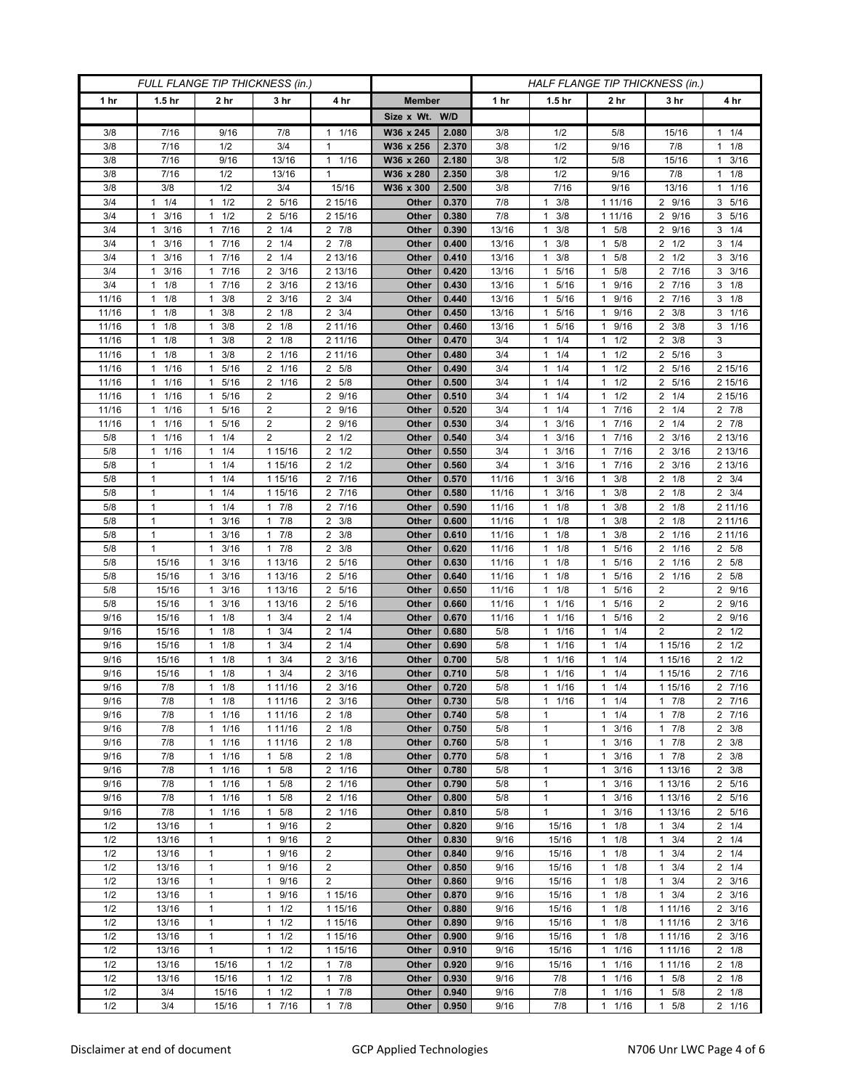| FULL FLANGE TIP THICKNESS (in.) |                              |                              |                          |                        | HALF FLANGE TIP THICKNESS (in.) |                |            |                              |                                            |                        |                                    |
|---------------------------------|------------------------------|------------------------------|--------------------------|------------------------|---------------------------------|----------------|------------|------------------------------|--------------------------------------------|------------------------|------------------------------------|
| 1 hr                            | 1.5 <sub>hr</sub>            | 2 hr                         | 3 hr                     | 4 hr                   | <b>Member</b>                   |                | 1 hr       | 1.5 <sub>hr</sub>            | 2 hr                                       | 3 hr                   | 4 hr                               |
|                                 |                              |                              |                          |                        | Size x Wt. W/D                  |                |            |                              |                                            |                        |                                    |
| 3/8                             | 7/16                         | 9/16                         | 7/8                      | 1/16<br>1              | W36 x 245                       | 2.080          | 3/8        | 1/2                          | 5/8                                        | 15/16                  | $1 \t1/4$                          |
| 3/8                             | 7/16                         | 1/2                          | 3/4                      | $\mathbf{1}$           | W36 x 256                       | 2.370          | 3/8        | 1/2                          | 9/16                                       | 7/8                    | $1 \t1/8$                          |
| 3/8                             | 7/16                         | 9/16                         | 13/16                    | $\mathbf{1}$<br>1/16   | W36 x 260                       | 2.180          | 3/8        | 1/2                          | 5/8                                        | 15/16                  | 3/16<br>$\mathbf{1}$               |
| 3/8                             | 7/16                         | 1/2                          | 13/16                    | $\mathbf{1}$           | W36 x 280                       | 2.350          | 3/8        | 1/2                          | 9/16                                       | 7/8                    | $1 \t1/8$                          |
| 3/8                             | 3/8                          | 1/2                          | 3/4                      | 15/16                  | W36 x 300                       | 2.500          | 3/8        | 7/16                         | 9/16                                       | 13/16                  | 11/16                              |
| 3/4                             | 1/4<br>$\mathbf{1}$          | 1/2<br>1                     | 2 5/16                   | 2 15/16                | Other                           | 0.370          | 7/8        | 3/8<br>$\mathbf{1}$          | 1 11/16                                    | 2 9/16                 | 3 5/16                             |
| 3/4                             | 3/16<br>1                    | 1/2<br>$\mathbf{1}$          | 2 5/16                   | 2 15/16                | Other                           | 0.380          | 7/8        | 3/8<br>1                     | 1 11/16                                    | 2 9/16                 | 3 5/16                             |
| 3/4                             | 3/16<br>$\mathbf{1}$         | 17/16                        | $2 \t1/4$                | $2 \t 7/8$             | Other                           | 0.390          | 13/16      | 3/8<br>$\mathbf{1}$          | 5/8<br>$\mathbf{1}$                        | 2 9/16                 | $3 \t1/4$                          |
| 3/4                             | 3/16<br>$\mathbf{1}$         | 7/16<br>$\mathbf{1}$         | $2 \t1/4$                | 7/8<br>2               | Other                           | 0.400          | 13/16      | 3/8<br>$\mathbf{1}$          | 5/8<br>$\mathbf{1}$                        | 2 1/2                  | $3 \t1/4$                          |
| 3/4                             | 3/16<br>$\mathbf{1}$         | 7/16<br>$\mathbf{1}$         | $2 \t1/4$                | 2 13/16                | Other                           | 0.410          | 13/16      | 3/8<br>$\mathbf{1}$          | 5/8<br>$\mathbf{1}$                        | $2 \frac{1}{2}$        | $3 \frac{3}{16}$                   |
| 3/4                             | 3/16<br>$\mathbf{1}$         | 7/16<br>$\mathbf{1}$         | $2 \frac{3}{16}$         | 2 13/16                | Other                           | 0.420          | 13/16      | 5/16<br>$\mathbf{1}$         | 5/8<br>$\mathbf{1}$                        | 7/16<br>$\overline{2}$ | $3 \frac{3}{16}$                   |
| 3/4                             | 1/8<br>$\mathbf{1}$          | 7/16<br>$\mathbf{1}$         | $2 \frac{3}{16}$         | 2 13/16                | Other                           | 0.430          | 13/16      | 5/16<br>$\mathbf{1}$         | 9/16<br>$\mathbf{1}$                       | 2 7/16                 | $3 \t1/8$                          |
| 11/16                           | 1/8<br>$\mathbf{1}$          | 3/8<br>1                     | $2 \frac{3}{16}$         | $2 \frac{3}{4}$        | Other                           | 0.440          | 13/16      | 5/16<br>$\mathbf{1}$         | 9/16<br>$\mathbf{1}$                       | 2 7/16                 | $3 \t1/8$                          |
| 11/16                           | 1/8<br>$\mathbf{1}$          | 3/8<br>1                     | $2 \t1/8$                | $\overline{2}$<br>3/4  | Other                           | 0.450          | 13/16      | 5/16<br>$\mathbf{1}$         | 9/16<br>$\mathbf{1}$                       | 3/8<br>2               | 3 1/16                             |
| 11/16                           | 1/8<br>$\mathbf{1}$          | 3/8<br>$\mathbf{1}$          | $2 \t1/8$                | 2 11/16                | Other                           | 0.460          | 13/16      | $\mathbf{1}$<br>5/16         | 9/16<br>1                                  | $2 \frac{3}{8}$        | $3 \t1/16$                         |
| 11/16                           | 1/8<br>$\mathbf{1}$          | 3/8<br>$\mathbf{1}$          | $2 \t1/8$                | 2 11/16                | Other                           | 0.470          | 3/4        | $1 \t1/4$                    | 1/2<br>$\mathbf{1}$                        | $2 \frac{3}{8}$        | 3                                  |
| 11/16                           | 1/8<br>$\mathbf{1}$          | 3/8<br>1                     | 2 1/16                   | 2 11/16                | Other                           | 0.480          | 3/4        | 1/4<br>$\mathbf{1}$          | 1/2<br>$\mathbf{1}$                        | 5/16<br>2              | 3                                  |
| 11/16                           | 1/16<br>$\mathbf{1}$         | 5/16<br>$\mathbf{1}$         | 2 1/16                   | 2 5/8                  | Other                           | 0.490          | 3/4        | 1/4<br>$\mathbf{1}$          | 1/2<br>$\mathbf{1}$                        | 2 5/16                 | 2 15/16                            |
| 11/16                           | 1/16<br>$\mathbf{1}$<br>1    | 1 5/16<br>$\mathbf{1}$       | 2 1/16<br>$\overline{2}$ | 2 5/8<br>9/16<br>2     | Other                           | 0.500          | 3/4        | $1 \t1/4$<br>1/4<br>1        | 1/2<br>$\mathbf{1}$<br>1/2<br>$\mathbf{1}$ | 2 5/16<br>2            | 2 15/16                            |
| 11/16<br>11/16                  | 1/16<br>1/16<br>$\mathbf{1}$ | 5/16<br>5/16<br>$\mathbf{1}$ | $\overline{2}$           | 9/16<br>2              | Other<br>Other                  | 0.510<br>0.520 | 3/4<br>3/4 | 1/4<br>$\mathbf{1}$          | 7/16<br>$\mathbf{1}$                       | 1/4<br>1/4<br>2        | 2 15/16<br>$2 \t7/8$               |
| 11/16                           | 1/16<br>$\mathbf{1}$         | 1 5/16                       | $\overline{2}$           | 9/16<br>2              | Other                           | 0.530          | 3/4        | 3/16<br>$\mathbf{1}$         | 7/16<br>$\mathbf{1}$                       | $2 \t1/4$              | $2 \t 7/8$                         |
| 5/8                             | 1/16<br>$\mathbf{1}$         | 1/4<br>$\mathbf{1}$          | $\overline{2}$           | 1/2<br>2               | Other                           | 0.540          | 3/4        | 3/16<br>1                    | 7/16<br>$\mathbf{1}$                       | 3/16<br>2              | 2 13/16                            |
| 5/8                             | 1/16<br>$\mathbf{1}$         | 1/4<br>$\mathbf{1}$          | 1 15/16                  | $\overline{2}$<br>1/2  | Other                           | 0.550          | 3/4        | 3/16<br>$\mathbf{1}$         | 7/16<br>$\mathbf{1}$                       | $2 \frac{3}{16}$       | 2 13/16                            |
| 5/8                             | $\mathbf{1}$                 | $1 \t1/4$                    | 1 15/16                  | $2 \frac{1}{2}$        | Other                           | 0.560          | 3/4        | 3/16<br>$\mathbf{1}$         | 7/16<br>$\mathbf{1}$                       | $2 \frac{3}{16}$       | 2 13/16                            |
| 5/8                             | 1                            | 1/4<br>$\mathbf{1}$          | 1 15/16                  | 7/16<br>2              | Other                           | 0.570          | 11/16      | 3/16<br>1                    | 3/8<br>$\mathbf{1}$                        | $2 \t1/8$              | $2 \frac{3}{4}$                    |
| 5/8                             | $\mathbf{1}$                 | 1/4<br>1                     | 1 15/16                  | 7/16<br>2              | Other                           | 0.580          | 11/16      | 3/16<br>$\mathbf{1}$         | 3/8<br>$\mathbf{1}$                        | $2 \t1/8$              | $2 \frac{3}{4}$                    |
| 5/8                             | $\mathbf{1}$                 | 1/4<br>1                     | 17/8                     | 7/16<br>2              | Other                           | 0.590          | 11/16      | $\mathbf{1}$<br>1/8          | 3/8<br>$\mathbf{1}$                        | $2 \t1/8$              | 2 11/16                            |
| 5/8                             | $\mathbf{1}$                 | 3/16<br>$\mathbf{1}$         | $1 \t7/8$                | 3/8<br>$\overline{2}$  | Other                           | 0.600          | 11/16      | $1 \t1/8$                    | 3/8<br>$\mathbf{1}$                        | $2 \t1/8$              | 2 11/16                            |
| 5/8                             | $\mathbf{1}$                 | 3/16<br>$\mathbf{1}$         | 7/8<br>$\mathbf{1}$      | 3/8<br>2               | Other                           | 0.610          | 11/16      | $1 \t1/8$                    | 3/8<br>$\mathbf{1}$                        | 2 1/16                 | 2 11/16                            |
| 5/8                             | $\mathbf{1}$                 | 3/16<br>1                    | 17/8                     | $\overline{2}$<br>3/8  | Other                           | 0.620          | 11/16      | $\mathbf{1}$<br>1/8          | 5/16<br>$\mathbf{1}$                       | 2 1/16                 | 2 5/8                              |
| 5/8                             | 15/16                        | 3/16<br>1                    | 1 13/16                  | 5/16<br>2              | Other                           | 0.630          | 11/16      | 1/8<br>1                     | 5/16<br>$\mathbf{1}$                       | 1/16<br>$\overline{2}$ | 2 5/8                              |
| 5/8                             | 15/16                        | 3/16<br>$\mathbf{1}$         | 1 13/16                  | 5/16<br>2              | Other                           | 0.640          | 11/16      | $1 \t1/8$                    | 5/16<br>$\mathbf{1}$                       | 2 1/16                 | 2 5/8                              |
| 5/8                             | 15/16                        | 3/16<br>1                    | 1 13/16                  | 5/16<br>2              | Other                           | 0.650          | 11/16      | 1/8<br>$\mathbf{1}$          | 5/16<br>$\mathbf{1}$                       | 2                      | 2 9/16                             |
| 5/8                             | 15/16                        | 3/16<br>1                    | 1 13/16                  | $\overline{2}$<br>5/16 | Other                           | 0.660          | 11/16      | 1/16<br>$\mathbf{1}$         | 5/16<br>$\mathbf{1}$                       | $\overline{2}$         | 2 9/16                             |
| 9/16                            | 15/16                        | 1/8<br>$\mathbf{1}$          | 3/4<br>$\mathbf{1}$      | 1/4<br>2               | Other                           | 0.670          | 11/16      | 11/16                        | 5/16<br>$\mathbf{1}$                       | $\overline{2}$         | 2 9/16                             |
| 9/16                            | 15/16                        | 1/8<br>1                     | 3/4<br>1                 | 1/4<br>2               | Other                           | 0.680          | 5/8        | $1 \t1/16$                   | 1/4<br>$\mathbf{1}$                        | $\overline{2}$         | $2 \frac{1}{2}$                    |
| 9/16                            | 15/16                        | 1/8<br>1                     | 3/4<br>1                 | 1/4<br>2               | Other                           | 0.690          | 5/8        | 1/16<br>1                    | 1/4<br>$\mathbf{1}$                        | 1 15/16                | $2 \t1/2$                          |
| 9/16                            | 15/16                        | 1/8<br>1                     | 3/4<br>1                 | $\overline{2}$<br>3/16 | Other                           | 0.700          | 5/8        | 1/16<br>$\mathbf{1}$         | 1/4<br>$\mathbf{1}$                        | 1 15/16                | $2 \frac{1}{2}$                    |
| 9/16                            | 15/16                        | 1/8<br>1                     | 3/4<br>$\mathbf{1}$      | 3/16<br>2              | Other                           | 0.710          | 5/8        | 1/16<br>$\mathbf{1}$         | 1/4<br>$\mathbf{1}$                        | 1 15/16                | 2 7/16                             |
| 9/16                            | 7/8                          | 1/8<br>$\mathbf{1}$          | 1 11/16                  | 3/16<br>2              | Other                           | 0.720          | 5/8        | 1/16<br>$\mathbf{1}$         | 1/4<br>$\mathbf{1}$                        | 1 15/16                | 2 7/16                             |
| 9/16                            | 7/8                          | $1 \t1/8$                    | 1 11/16                  | $2 \frac{3}{16}$       | Other                           | 0.730          | 5/8        | $1 \t1/16$                   | 1/4<br>1                                   | $1 \t7/8$              | 2 7/16                             |
| 9/16                            | 7/8                          | 11/16                        | 1 11/16                  | $2 \t1/8$              | Other                           | 0.740          | 5/8        | $\mathbf{1}$                 | $\mathbf{1}$<br>1/4                        | 17/8                   | 2 7/16                             |
| 9/16                            | 7/8                          | 11/16<br>$\mathbf{1}$        | 1 11/16<br>1 11/16       | $2 \t1/8$<br>$2 \t1/8$ | Other                           | 0.750<br>0.760 | 5/8        | $\mathbf{1}$<br>$\mathbf{1}$ | 3/16<br>$\mathbf{1}$<br>$\mathbf{1}$       | 17/8                   | $2 \frac{3}{8}$<br>$2 \frac{3}{8}$ |
| 9/16<br>9/16                    | 7/8<br>7/8                   | 1/16<br>1/16<br>$\mathbf{1}$ | $1 \t5/8$                | $2 \t1/8$              | Other<br>Other                  | 0.770          | 5/8<br>5/8 | $\mathbf{1}$                 | 3/16<br>3/16<br>$\mathbf{1}$               | 7/8<br>1<br>17/8       | $2 \frac{3}{8}$                    |
| 9/16                            | 7/8                          | $1 \t1/16$                   | $1 \t5/8$                | 2 1/16                 | Other                           | 0.780          | 5/8        | $\mathbf{1}$                 | 3/16<br>$\mathbf{1}$                       | 1 13/16                | $2 \frac{3}{8}$                    |
| 9/16                            | 7/8                          | 1/16<br>$\mathbf{1}$         | 5/8<br>$\mathbf{1}$      | 2 1/16                 | Other                           | 0.790          | 5/8        | $\mathbf{1}$                 | 3/16<br>$\mathbf{1}$                       | 1 13/16                | 2 5/16                             |
| 9/16                            | 7/8                          | 1/16<br>$\mathbf{1}$         | $1 \t5/8$                | 2 1/16                 | Other                           | 0.800          | 5/8        | $\mathbf{1}$                 | $\mathbf{1}$<br>3/16                       | 1 13/16                | 2 5/16                             |
| 9/16                            | 7/8                          | 11/16                        | $1 \t5/8$                | 2 1/16                 | Other                           | 0.810          | 5/8        | $\mathbf{1}$                 | 3/16<br>$\mathbf{1}$                       | 1 13/16                | 2 5/16                             |
| 1/2                             | 13/16                        | $\mathbf{1}$                 | 1 9/16                   | 2                      | Other                           | 0.820          | 9/16       | 15/16                        | 1/8<br>$\mathbf{1}$                        | $1 \t3/4$              | $2 \t1/4$                          |
| 1/2                             | 13/16                        | $\mathbf{1}$                 | 9/16<br>$\mathbf{1}$     | $\overline{2}$         | Other                           | 0.830          | 9/16       | 15/16                        | 1/8<br>1                                   | 3/4<br>$\mathbf{1}$    | $2 \t1/4$                          |
| 1/2                             | 13/16                        | $\mathbf{1}$                 | 1 9/16                   | $\overline{c}$         | Other                           | 0.840          | 9/16       | 15/16                        | 1/8<br>$\mathbf{1}$                        | 3/4<br>1.              | $2 \t1/4$                          |
| 1/2                             | 13/16                        | $\mathbf{1}$                 | 1 9/16                   | $\overline{2}$         | Other                           | 0.850          | 9/16       | 15/16                        | 1/8<br>$\mathbf{1}$                        | 3/4<br>$\mathbf{1}$    | $2 \t1/4$                          |
| 1/2                             | 13/16                        | $\mathbf{1}$                 | 9/16<br>1                | $\overline{2}$         | Other                           | 0.860          | 9/16       | 15/16                        | $\mathbf{1}$<br>1/8                        | 3/4<br>$\mathbf{1}$    | $2 \frac{3}{16}$                   |
| 1/2                             | 13/16                        | $\mathbf{1}$                 | $\mathbf{1}$<br>9/16     | 1 15/16                | Other                           | 0.870          | 9/16       | 15/16                        | $\mathbf{1}$<br>1/8                        | 3/4<br>1.              | $2 \frac{3}{16}$                   |
| 1/2                             | 13/16                        | 1                            | $1 \t1/2$                | 1 15/16                | Other                           | 0.880          | 9/16       | 15/16                        | 1/8<br>$\mathbf{1}$                        | 1 11/16                | $2 \frac{3}{16}$                   |
| 1/2                             | 13/16                        | $\mathbf{1}$                 | $1 \t1/2$                | 1 15/16                | Other                           | 0.890          | 9/16       | 15/16                        | $\mathbf{1}$<br>1/8                        | 1 11/16                | $2 \frac{3}{16}$                   |
| 1/2                             | 13/16                        | $\mathbf{1}$                 | $1 \t1/2$                | 1 15/16                | Other                           | 0.900          | 9/16       | 15/16                        | 1/8<br>$\mathbf{1}$                        | 1 11/16                | $2 \frac{3}{16}$                   |
| 1/2                             | 13/16                        | $\mathbf{1}$                 | $1 \t1/2$                | 1 15/16                | Other                           | 0.910          | 9/16       | 15/16                        | 1/16<br>$\mathbf{1}$                       | 1 11/16                | $2 \t1/8$                          |
| 1/2                             | 13/16                        | 15/16                        | $1 \t1/2$                | $1 \t7/8$              | Other                           | 0.920          | 9/16       | 15/16                        | 1/16<br>$\mathbf{1}$                       | 1 11/16                | $2 \t1/8$                          |
| 1/2                             | 13/16                        | 15/16                        | 1/2<br>$\mathbf{1}$      | $\mathbf{1}$<br>7/8    | Other                           | 0.930          | 9/16       | 7/8                          | 1/16<br>$\mathbf{1}$                       | $1 \t5/8$              | $2 \t1/8$                          |
| 1/2                             | 3/4                          | 15/16                        | 1/2<br>$\mathbf{1}$      | 7/8<br>1               | Other                           | 0.940          | 9/16       | 7/8                          | 1/16<br>$\mathbf{1}$                       | 5/8<br>1               | $2 \t1/8$                          |
| 1/2                             | 3/4                          | 15/16                        | 7/16<br>$\mathbf{1}$     | 7/8<br>$\mathbf{1}$    | Other                           | 0.950          | 9/16       | 7/8                          | 1/16<br>$\mathbf{1}$                       | 5/8<br>$\mathbf{1}$    | 2 1/16                             |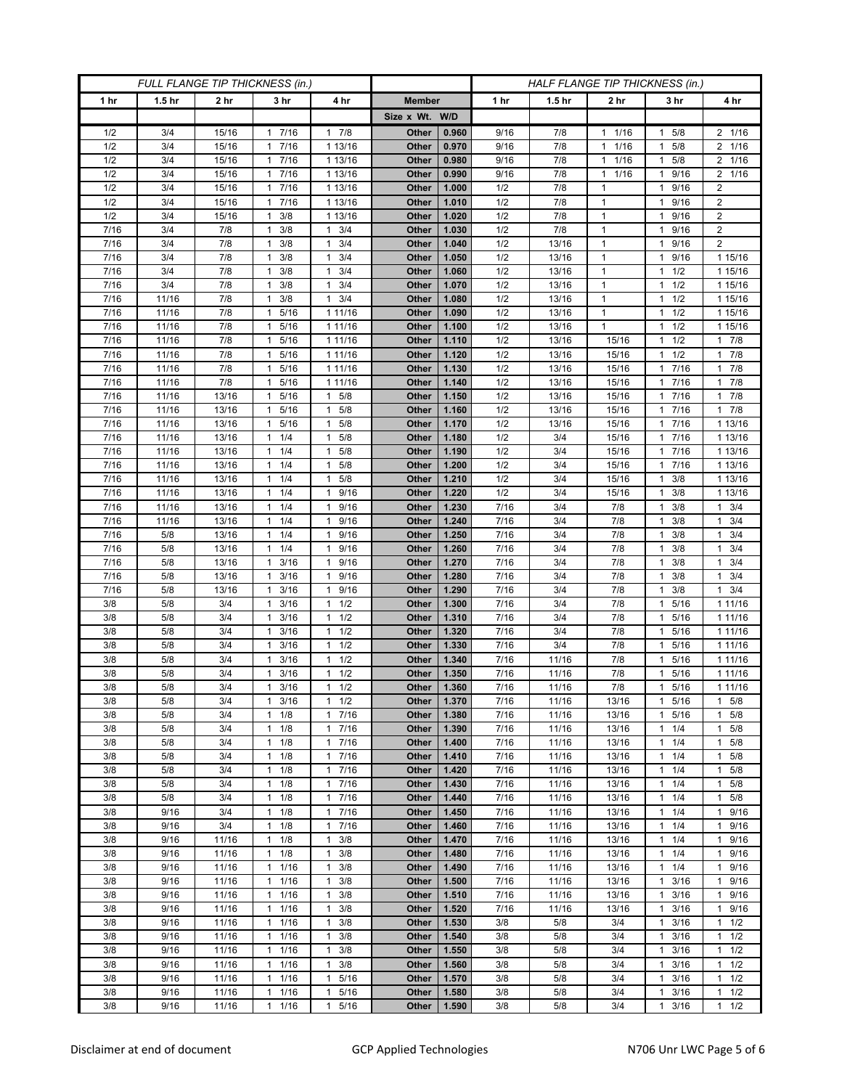| <b>FULL FLANGE TIP THICKNESS (in.)</b> |                   |                 |                                  |                                   |                |                |              | HALF FLANGE TIP THICKNESS (in.) |                              |                       |                                  |
|----------------------------------------|-------------------|-----------------|----------------------------------|-----------------------------------|----------------|----------------|--------------|---------------------------------|------------------------------|-----------------------|----------------------------------|
| 1 hr                                   | 1.5 <sub>hr</sub> | 2 <sub>hr</sub> | 3 <sub>hr</sub>                  | 4 hr                              | <b>Member</b>  |                | 1 hr         | 1.5 <sub>hr</sub>               | 2 <sub>hr</sub>              | 3 hr                  | 4 hr                             |
|                                        |                   |                 |                                  |                                   | Size x Wt. W/D |                |              |                                 |                              |                       |                                  |
| 1/2                                    | 3/4               | 15/16           | 7/16<br>1                        | 7/8<br>1                          | Other          | 0.960          | 9/16         | 7/8                             | 1/16<br>$\mathbf{1}$         | 5/8<br>1              | 2 1/16                           |
| 1/2                                    | 3/4               | 15/16           | 7/16<br>$\mathbf{1}$             | 1 13/16                           | Other          | 0.970          | 9/16         | 7/8                             | 1/16<br>$\mathbf{1}$         | 5/8<br>1              | 2 1/16                           |
| 1/2                                    | 3/4               | 15/16           | 1 7/16                           | 1 13/16                           | Other          | 0.980          | 9/16         | 7/8                             | 1/16<br>$\mathbf{1}$         | $1 \t5/8$             | 2 1/16                           |
| 1/2                                    | 3/4               | 15/16           | 7/16<br>1                        | 1 13/16                           | Other          | 0.990          | 9/16         | 7/8                             | $\mathbf{1}$<br>1/16         | 9/16                  | 2 1/16                           |
| 1/2                                    | 3/4               | 15/16           | 7/16<br>$\mathbf{1}$             | 1 13/16                           | Other          | 1.000          | 1/2          | 7/8                             | $\mathbf{1}$                 | 9/16<br>1             | $\overline{c}$                   |
| 1/2                                    | 3/4               | 15/16           | 17/16                            | 1 13/16                           | Other          | 1.010          | 1/2          | 7/8                             | $\mathbf{1}$                 | 9/16<br>$\mathbf{1}$  | $\overline{c}$                   |
| 1/2                                    | 3/4               | 15/16           | 3/8<br>1                         | 1 13/16                           | Other          | 1.020          | 1/2          | 7/8                             | $\mathbf{1}$                 | 9/16                  | $\overline{2}$                   |
| 7/16                                   | 3/4               | 7/8             | 3/8<br>$\mathbf{1}$              | 3/4<br>$\mathbf{1}$               | Other          | 1.030          | 1/2          | 7/8                             | $\mathbf{1}$                 | 9/16<br>1             | $\overline{2}$                   |
| 7/16                                   | 3/4               | 7/8             | 3/8<br>$\mathbf{1}$              | 3/4<br>$\mathbf{1}$               | Other          | 1.040          | 1/2          | 13/16                           | $\mathbf{1}$                 | 9/16<br>1             | $\overline{2}$                   |
| 7/16                                   | 3/4               | 7/8             | 3/8<br>-1                        | 3/4<br>$\mathbf{1}$               | Other          | 1.050          | 1/2          | 13/16                           | $\mathbf{1}$                 | 9/16<br>1             | 1 15/16                          |
| 7/16                                   | 3/4               | 7/8             | 3/8<br>1                         | 3/4<br>$\mathbf{1}$               | Other          | 1.060          | 1/2          | 13/16                           | $\mathbf{1}$                 | 1/2<br>1              | 1 15/16                          |
| 7/16                                   | 3/4               | 7/8             | $\mathbf{1}$<br>3/8              | $\mathbf{1}$<br>3/4               | Other          | 1.070          | 1/2          | 13/16                           | $\mathbf{1}$                 | 1/2<br>1              | 1 15/16                          |
| 7/16<br>7/16                           | 11/16             | 7/8<br>7/8      | 3/8<br>-1<br>5/16                | 3/4<br>$\mathbf{1}$               | Other          | 1.080          | 1/2          | 13/16                           | $\mathbf{1}$<br>$\mathbf{1}$ | 1/2<br>1<br>1/2<br>1  | 1 15/16<br>1 15/16               |
| 7/16                                   | 11/16<br>11/16    | 7/8             | 1<br>5/16<br>1                   | 1 11/16<br>1 11/16                | Other<br>Other | 1.090<br>1.100 | 1/2<br>1/2   | 13/16<br>13/16                  | $\mathbf{1}$                 | 1/2<br>1              | 1 15/16                          |
| 7/16                                   | 11/16             | 7/8             | 5/16<br>1                        | 1 11/16                           | Other          | 1.110          | 1/2          | 13/16                           | 15/16                        | 1/2<br>1              | 17/8                             |
| 7/16                                   | 11/16             | 7/8             | 5/16<br>1                        | 1 11/16                           | Other          | 1.120          | 1/2          | 13/16                           | 15/16                        | 1/2<br>1              | 17/8                             |
| 7/16                                   | 11/16             | 7/8             | 5/16<br>1                        | 1 11/16                           | Other          | 1.130          | 1/2          | 13/16                           | 15/16                        | 7/16                  | $1 \t7/8$                        |
| $\frac{1}{7}{16}$                      | 11/16             | 7/8             | 5/16<br>1                        | 1 11/16                           | Other          | 1.140          | 1/2          | 13/16                           | 15/16                        | 7/16<br>1             | 17/8                             |
| 7/16                                   | 11/16             | 13/16           | 5/16<br>$\mathbf{1}$             | 5/8<br>1                          | Other          | 1.150          | 1/2          | 13/16                           | 15/16                        | 7/16<br>1             | 17/8                             |
| 7/16                                   | 11/16             | 13/16           | 5/16<br>1                        | 5/8<br>$\mathbf{1}$               | Other          | 1.160          | 1/2          | 13/16                           | 15/16                        | 7/16<br>1             | $1 \t7/8$                        |
| 7/16                                   | 11/16             | 13/16           | 5/16<br>1                        | 5/8<br>1                          | Other          | 1.170          | 1/2          | 13/16                           | 15/16                        | 7/16<br>1             | 1 13/16                          |
| 7/16                                   | 11/16             | 13/16           | 1/4<br>$\mathbf{1}$              | 5/8<br>$\mathbf{1}$               | Other          | 1.180          | 1/2          | 3/4                             | 15/16                        | 7/16<br>1             | 1 13/16                          |
| 7/16                                   | 11/16             | 13/16           | $1 \t1/4$                        | 5/8<br>1                          | Other          | 1.190          | 1/2          | 3/4                             | 15/16                        | 1 7/16                | 1 13/16                          |
| 7/16                                   | 11/16             | 13/16           | $1 \t1/4$                        | 5/8<br>1                          | Other          | 1.200          | 1/2          | 3/4                             | 15/16                        | 7/16<br>1.            | 1 13/16                          |
| 7/16                                   | 11/16             | 13/16           | 1/4<br>$\mathbf{1}$              | 5/8<br>$\mathbf{1}$               | Other          | 1.210          | 1/2          | 3/4                             | 15/16                        | 3/8<br>1              | 1 13/16                          |
| 7/16                                   | 11/16             | 13/16           | $1 \t1/4$                        | 9/16<br>1                         | Other          | 1.220          | 1/2          | 3/4                             | 15/16                        | 3/8<br>1              | 1 13/16                          |
| 7/16                                   | 11/16             | 13/16           | $1 \t1/4$                        | 9/16<br>1                         | Other          | 1.230          | 7/16         | 3/4                             | 7/8                          | 3/8<br>$\mathbf{1}$   | $1 \t3/4$                        |
| 7/16<br>7/16                           | 11/16<br>5/8      | 13/16<br>13/16  | 1/4<br>1<br>$1 \t1/4$            | 9/16<br>1<br>9/16<br>$\mathbf{1}$ | Other<br>Other | 1.240<br>1.250 | 7/16<br>7/16 | 3/4<br>3/4                      | 7/8<br>7/8                   | 3/8<br>3/8<br>1       | 3/4<br>$\mathbf{1}$<br>$1 \t3/4$ |
| 7/16                                   | 5/8               | 13/16           | $1 \t1/4$                        | 9/16<br>1                         | Other          | 1.260          | 7/16         | 3/4                             | 7/8                          | 3/8<br>1              | $1 \t3/4$                        |
| 7/16                                   | 5/8               | 13/16           | 3/16<br>1                        | 9/16<br>1                         | Other          | 1.270          | 7/16         | 3/4                             | 7/8                          | 3/8                   | 3/4<br>$\mathbf{1}$              |
| 7/16                                   | 5/8               | 13/16           | 3/16<br>$\mathbf{1}$             | 9/16<br>$\mathbf{1}$              | Other          | 1.280          | 7/16         | 3/4                             | 7/8                          | 3/8<br>1              | $1 \t3/4$                        |
| 7/16                                   | 5/8               | 13/16           | $1 \t3/16$                       | 9/16<br>1                         | Other          | 1.290          | 7/16         | 3/4                             | 7/8                          | 3/8<br>1              | $1 \t3/4$                        |
| 3/8                                    | 5/8               | 3/4             | 3/16<br>1                        | 1/2<br>$\mathbf{1}$               | Other          | 1.300          | 7/16         | 3/4                             | 7/8                          | 5/16<br>1             | 1 1 1 / 16                       |
| 3/8                                    | 5/8               | 3/4             | 3/16<br>1                        | 1/2<br>$\mathbf{1}$               | Other          | 1.310          | 7/16         | 3/4                             | 7/8                          | 5/16<br>1             | 1 1 1 / 16                       |
| 3/8                                    | 5/8               | 3/4             | 3/16<br>$\mathbf{1}$             | $\mathbf{1}$<br>1/2               | Other          | 1.320          | 7/16         | 3/4                             | 7/8                          | 5/16<br>1             | 1 1 1 / 16                       |
| 3/8                                    | 5/8               | 3/4             | 3/16<br>1                        | 1/2<br>$\mathbf{1}$               | Other          | 1.330          | 7/16         | 3/4                             | 7/8                          | 5/16<br>1             | 1 11/16                          |
| 3/8                                    | 5/8               | 3/4             | 3/16<br>1                        | 1/2<br>$\mathbf{1}$               | Other          | 1.340          | 7/16         | 11/16                           | 7/8                          | 5/16<br>1             | 1 1 1/16                         |
| 3/8                                    | 5/8               | 3/4             | 3/16<br>1                        | 1/2<br>$\mathbf{1}$               | Other          | 1.350          | 7/16         | 11/16                           | 7/8                          | 5/16                  | 1 1 1 / 16                       |
| 3/8                                    | 5/8               | 3/4             | 3/16<br>1                        | 1/2<br>$\mathbf{1}$               | Other          | 1.360          | 7/16         | 11/16                           | 7/8                          | 5/16<br>1             | 1 1 1 / 1 6                      |
| 3/8                                    | 5/8               | 3/4             | $1 \t3/16$                       | 1/2<br>$\mathbf{1}$               | Other          | 1.370          | 7/16         | 11/16                           | 13/16                        | 1 5/16                | $1 \t5/8$                        |
| 3/8<br>3/8                             | 5/8<br>5/8        | 3/4<br>3/4      | $1 \t1/8$<br>1/8<br>$\mathbf{1}$ | 7/16<br>$\mathbf{1}$<br>7/16<br>1 | Other<br>Other | 1.380<br>1.390 | 7/16<br>7/16 | 11/16<br>11/16                  | 13/16<br>13/16               | 5/16<br>1<br>1/4<br>1 | 1 5/8<br>$1 \t5/8$               |
| 3/8                                    | 5/8               | 3/4             | $1 \t1/8$                        | 7/16<br>$\mathbf{1}$              | Other          | 1.400          | 7/16         | 11/16                           | 13/16                        | 1/4<br>$\mathbf{1}$   | $1 \t5/8$                        |
| 3/8                                    | 5/8               | 3/4             | $\mathbf{1}$<br>1/8              | 7/16<br>$\mathbf{1}$              | Other          | 1.410          | 7/16         | 11/16                           | 13/16                        | 1/4<br>1              | 1 5/8                            |
| 3/8                                    | 5/8               | 3/4             | $\mathbf{1}$<br>1/8              | 7/16<br>1                         | Other          | 1.420          | 7/16         | 11/16                           | 13/16                        | 1/4<br>1              | $1 \t5/8$                        |
| 3/8                                    | 5/8               | 3/4             | 1/8<br>$\mathbf{1}$              | 7/16<br>$\mathbf{1}$              | Other          | 1.430          | 7/16         | 11/16                           | 13/16                        | 1/4<br>1              | 1 5/8                            |
| 3/8                                    | 5/8               | 3/4             | $1 \t1/8$                        | 7/16<br>1                         | Other          | 1.440          | 7/16         | 11/16                           | 13/16                        | 1/4<br>$\mathbf{1}$   | $1 \t5/8$                        |
| 3/8                                    | 9/16              | 3/4             | 1/8<br>1                         | 7/16<br>1                         | Other          | 1.450          | 7/16         | 11/16                           | 13/16                        | 1/4<br>1              | 1 9/16                           |
| 3/8                                    | 9/16              | 3/4             | 1/8<br>1                         | 7/16<br>$\mathbf{1}$              | Other          | 1.460          | 7/16         | 11/16                           | 13/16                        | 1/4<br>1              | 1 9/16                           |
| 3/8                                    | 9/16              | 11/16           | $1 \t1/8$                        | 3/8<br>$\mathbf{1}$               | Other          | 1.470          | 7/16         | 11/16                           | 13/16                        | 1/4<br>$\mathbf{1}$   | 1 9/16                           |
| 3/8                                    | 9/16              | 11/16           | $1 \t1/8$                        | 3/8<br>$\mathbf{1}$               | Other          | 1.480          | 7/16         | 11/16                           | 13/16                        | $1 \t1/4$             | 1 9/16                           |
| 3/8                                    | 9/16              | 11/16           | 1/16<br>1                        | 3/8<br>1                          | Other          | 1.490          | 7/16         | 11/16                           | 13/16                        | 1/4<br>1              | 1 9/16                           |
| 3/8                                    | 9/16              | 11/16           | 1 1/16                           | 3/8<br>$\mathbf{1}$               | Other          | 1.500          | 7/16         | 11/16                           | 13/16                        | 3/16<br>1             | 1 9/16                           |
| 3/8<br>3/8                             | 9/16              | 11/16           | $1 \t1/16$<br>1/16<br>1          | 3/8<br>1<br>$\mathbf{1}$          | Other          | 1.510<br>1.520 | 7/16<br>7/16 | 11/16                           | 13/16                        | $1 \t3/16$<br>1       | 1 9/16                           |
| 3/8                                    | 9/16<br>9/16      | 11/16<br>11/16  | 11/16                            | 3/8<br>3/8<br>$\mathbf{1}$        | Other<br>Other | 1.530          | 3/8          | 11/16<br>5/8                    | 13/16<br>3/4                 | 3/16<br>3/16<br>1     | 1 9/16<br>$1 \t1/2$              |
| 3/8                                    | 9/16              | 11/16           | 11/16                            | 3/8<br>$\mathbf{1}$               | Other          | 1.540          | 3/8          | 5/8                             | 3/4                          | 3/16<br>1             | $1 \t1/2$                        |
| 3/8                                    | 9/16              | 11/16           | $1 \t1/16$                       | 3/8<br>1                          | Other          | 1.550          | 3/8          | 5/8                             | 3/4                          | 3/16<br>1             | $1 \t1/2$                        |
| 3/8                                    | 9/16              | 11/16           | 1/16<br>$\mathbf{1}$             | 3/8<br>1                          | Other          | 1.560          | 3/8          | 5/8                             | 3/4                          | 3/16<br>1             | $1 \t1/2$                        |
| 3/8                                    | 9/16              | 11/16           | $\mathbf{1}$<br>1/16             | 5/16<br>$\mathbf{1}$              | Other          | 1.570          | 3/8          | 5/8                             | 3/4                          | 3/16<br>1             | $1 \t1/2$                        |
| 3/8                                    | 9/16              | 11/16           | 11/16                            | 5/16<br>1                         | Other          | 1.580          | 3/8          | 5/8                             | 3/4                          | 3/16<br>1             | $1 \t1/2$                        |
| 3/8                                    | 9/16              | 11/16           | $\mathbf{1}$<br>1/16             | 5/16<br>1                         | Other          | 1.590          | 3/8          | 5/8                             | 3/4                          | 3/16<br>$\mathbf{1}$  | $1 \t1/2$                        |